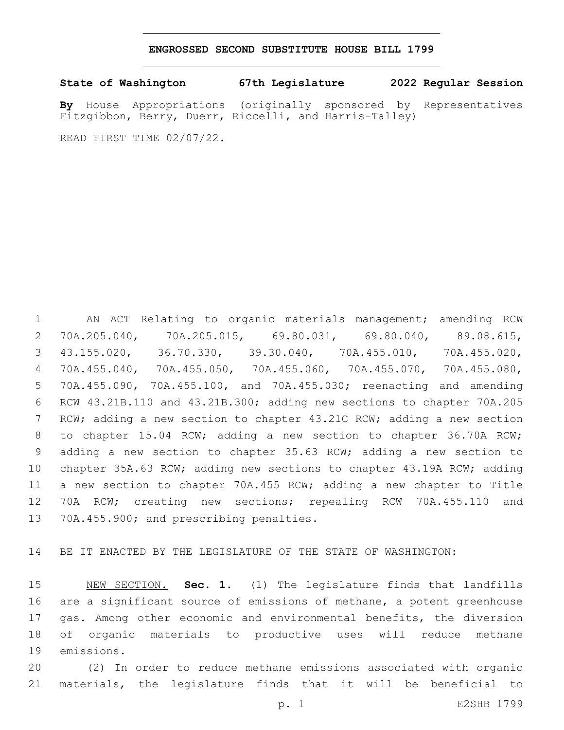#### **ENGROSSED SECOND SUBSTITUTE HOUSE BILL 1799**

**State of Washington 67th Legislature 2022 Regular Session**

**By** House Appropriations (originally sponsored by Representatives Fitzgibbon, Berry, Duerr, Riccelli, and Harris-Talley)

READ FIRST TIME 02/07/22.

 AN ACT Relating to organic materials management; amending RCW 70A.205.040, 70A.205.015, 69.80.031, 69.80.040, 89.08.615, 43.155.020, 36.70.330, 39.30.040, 70A.455.010, 70A.455.020, 70A.455.040, 70A.455.050, 70A.455.060, 70A.455.070, 70A.455.080, 70A.455.090, 70A.455.100, and 70A.455.030; reenacting and amending RCW 43.21B.110 and 43.21B.300; adding new sections to chapter 70A.205 RCW; adding a new section to chapter 43.21C RCW; adding a new section to chapter 15.04 RCW; adding a new section to chapter 36.70A RCW; adding a new section to chapter 35.63 RCW; adding a new section to chapter 35A.63 RCW; adding new sections to chapter 43.19A RCW; adding a new section to chapter 70A.455 RCW; adding a new chapter to Title 70A RCW; creating new sections; repealing RCW 70A.455.110 and 13 70A.455.900; and prescribing penalties.

BE IT ENACTED BY THE LEGISLATURE OF THE STATE OF WASHINGTON:

 NEW SECTION. **Sec. 1.** (1) The legislature finds that landfills are a significant source of emissions of methane, a potent greenhouse gas. Among other economic and environmental benefits, the diversion of organic materials to productive uses will reduce methane emissions.

 (2) In order to reduce methane emissions associated with organic materials, the legislature finds that it will be beneficial to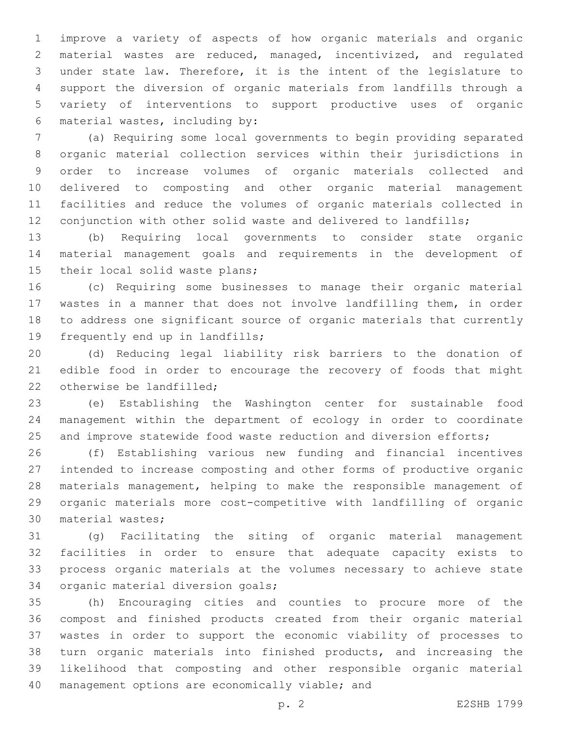improve a variety of aspects of how organic materials and organic material wastes are reduced, managed, incentivized, and regulated under state law. Therefore, it is the intent of the legislature to support the diversion of organic materials from landfills through a variety of interventions to support productive uses of organic material wastes, including by:6

 (a) Requiring some local governments to begin providing separated organic material collection services within their jurisdictions in order to increase volumes of organic materials collected and delivered to composting and other organic material management facilities and reduce the volumes of organic materials collected in conjunction with other solid waste and delivered to landfills;

 (b) Requiring local governments to consider state organic material management goals and requirements in the development of 15 their local solid waste plans;

 (c) Requiring some businesses to manage their organic material wastes in a manner that does not involve landfilling them, in order to address one significant source of organic materials that currently 19 frequently end up in landfills;

 (d) Reducing legal liability risk barriers to the donation of edible food in order to encourage the recovery of foods that might 22 otherwise be landfilled:

 (e) Establishing the Washington center for sustainable food management within the department of ecology in order to coordinate 25 and improve statewide food waste reduction and diversion efforts;

 (f) Establishing various new funding and financial incentives intended to increase composting and other forms of productive organic materials management, helping to make the responsible management of organic materials more cost-competitive with landfilling of organic 30 material wastes;

 (g) Facilitating the siting of organic material management facilities in order to ensure that adequate capacity exists to process organic materials at the volumes necessary to achieve state 34 organic material diversion goals;

 (h) Encouraging cities and counties to procure more of the compost and finished products created from their organic material wastes in order to support the economic viability of processes to turn organic materials into finished products, and increasing the likelihood that composting and other responsible organic material 40 management options are economically viable; and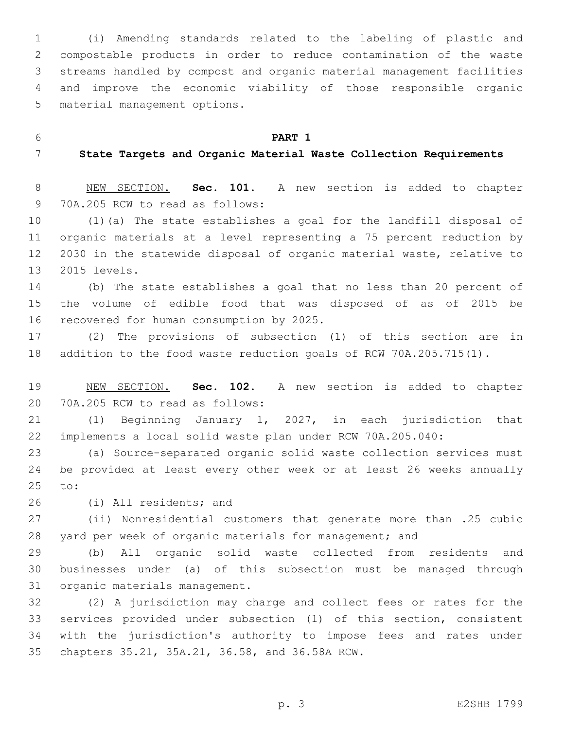(i) Amending standards related to the labeling of plastic and compostable products in order to reduce contamination of the waste streams handled by compost and organic material management facilities and improve the economic viability of those responsible organic 5 material management options.

**PART 1**

#### **State Targets and Organic Material Waste Collection Requirements**

 NEW SECTION. **Sec. 101.** A new section is added to chapter 9 70A.205 RCW to read as follows:

 (1)(a) The state establishes a goal for the landfill disposal of organic materials at a level representing a 75 percent reduction by 2030 in the statewide disposal of organic material waste, relative to 2015 levels.13

 (b) The state establishes a goal that no less than 20 percent of the volume of edible food that was disposed of as of 2015 be 16 recovered for human consumption by 2025.

 (2) The provisions of subsection (1) of this section are in addition to the food waste reduction goals of RCW 70A.205.715(1).

 NEW SECTION. **Sec. 102.** A new section is added to chapter 20 70A.205 RCW to read as follows:

 (1) Beginning January 1, 2027, in each jurisdiction that implements a local solid waste plan under RCW 70A.205.040:

 (a) Source-separated organic solid waste collection services must be provided at least every other week or at least 26 weeks annually 25 to:

26 (i) All residents; and

 (ii) Nonresidential customers that generate more than .25 cubic yard per week of organic materials for management; and

 (b) All organic solid waste collected from residents and businesses under (a) of this subsection must be managed through 31 organic materials management.

 (2) A jurisdiction may charge and collect fees or rates for the services provided under subsection (1) of this section, consistent with the jurisdiction's authority to impose fees and rates under 35 chapters 35.21, 35A.21, 36.58, and 36.58A RCW.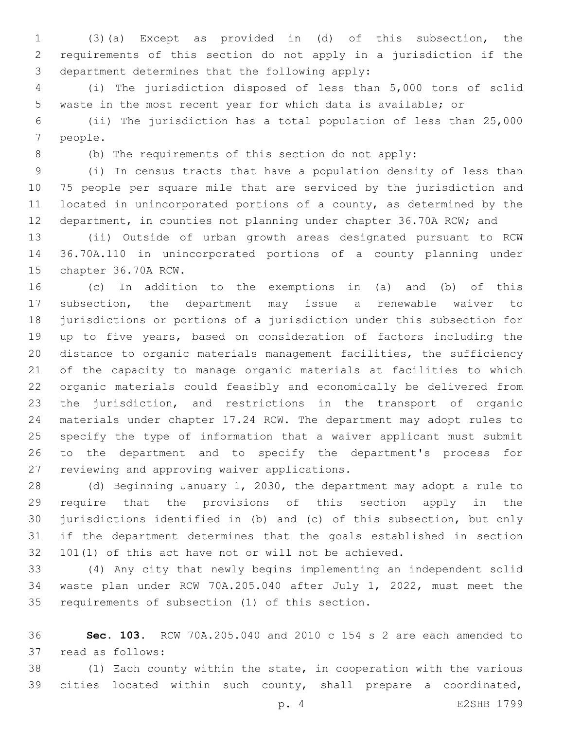(3)(a) Except as provided in (d) of this subsection, the requirements of this section do not apply in a jurisdiction if the 3 department determines that the following apply:

 (i) The jurisdiction disposed of less than 5,000 tons of solid waste in the most recent year for which data is available; or

 (ii) The jurisdiction has a total population of less than 25,000 7 people.

(b) The requirements of this section do not apply:

 (i) In census tracts that have a population density of less than 75 people per square mile that are serviced by the jurisdiction and located in unincorporated portions of a county, as determined by the department, in counties not planning under chapter 36.70A RCW; and

 (ii) Outside of urban growth areas designated pursuant to RCW 36.70A.110 in unincorporated portions of a county planning under 15 chapter 36.70A RCW.

 (c) In addition to the exemptions in (a) and (b) of this subsection, the department may issue a renewable waiver to jurisdictions or portions of a jurisdiction under this subsection for up to five years, based on consideration of factors including the distance to organic materials management facilities, the sufficiency of the capacity to manage organic materials at facilities to which organic materials could feasibly and economically be delivered from the jurisdiction, and restrictions in the transport of organic materials under chapter 17.24 RCW. The department may adopt rules to specify the type of information that a waiver applicant must submit to the department and to specify the department's process for 27 reviewing and approving waiver applications.

 (d) Beginning January 1, 2030, the department may adopt a rule to require that the provisions of this section apply in the jurisdictions identified in (b) and (c) of this subsection, but only if the department determines that the goals established in section 101(1) of this act have not or will not be achieved.

 (4) Any city that newly begins implementing an independent solid waste plan under RCW 70A.205.040 after July 1, 2022, must meet the 35 requirements of subsection (1) of this section.

 **Sec. 103.** RCW 70A.205.040 and 2010 c 154 s 2 are each amended to 37 read as follows:

 (1) Each county within the state, in cooperation with the various cities located within such county, shall prepare a coordinated,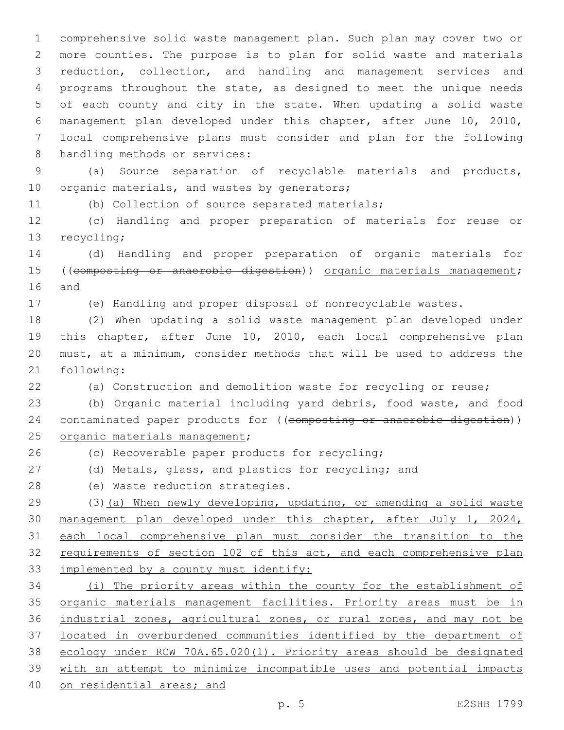comprehensive solid waste management plan. Such plan may cover two or more counties. The purpose is to plan for solid waste and materials reduction, collection, and handling and management services and programs throughout the state, as designed to meet the unique needs of each county and city in the state. When updating a solid waste management plan developed under this chapter, after June 10, 2010, local comprehensive plans must consider and plan for the following 8 handling methods or services:

 (a) Source separation of recyclable materials and products, 10 organic materials, and wastes by generators;

(b) Collection of source separated materials;

 (c) Handling and proper preparation of materials for reuse or 13 recycling;

 (d) Handling and proper preparation of organic materials for 15 ((composting or anaerobic digestion)) organic materials management; 16 and

(e) Handling and proper disposal of nonrecyclable wastes.

 (2) When updating a solid waste management plan developed under this chapter, after June 10, 2010, each local comprehensive plan must, at a minimum, consider methods that will be used to address the 21 following:

(a) Construction and demolition waste for recycling or reuse;

 (b) Organic material including yard debris, food waste, and food 24 contaminated paper products for ((composting or anaerobic digestion)) 25 organic materials management;

26 (c) Recoverable paper products for recycling;

(d) Metals, glass, and plastics for recycling; and

28 (e) Waste reduction strategies.

 (3)(a) When newly developing, updating, or amending a solid waste 30 management plan developed under this chapter, after July 1, 2024, each local comprehensive plan must consider the transition to the requirements of section 102 of this act, and each comprehensive plan 33 implemented by a county must identify:

 (i) The priority areas within the county for the establishment of organic materials management facilities. Priority areas must be in industrial zones, agricultural zones, or rural zones, and may not be located in overburdened communities identified by the department of ecology under RCW 70A.65.020(1). Priority areas should be designated with an attempt to minimize incompatible uses and potential impacts on residential areas; and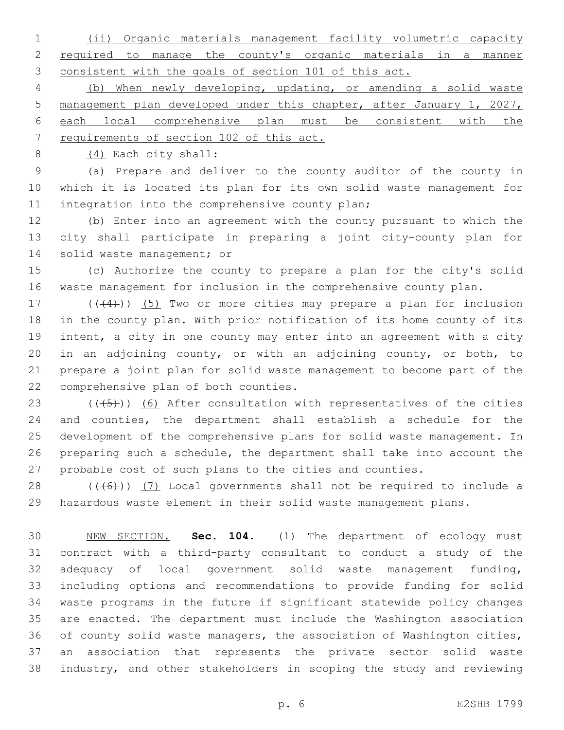(ii) Organic materials management facility volumetric capacity required to manage the county's organic materials in a manner consistent with the goals of section 101 of this act.

 (b) When newly developing, updating, or amending a solid waste management plan developed under this chapter, after January 1, 2027, each local comprehensive plan must be consistent with the requirements of section 102 of this act.

8 (4) Each city shall:

 (a) Prepare and deliver to the county auditor of the county in which it is located its plan for its own solid waste management for 11 integration into the comprehensive county plan;

 (b) Enter into an agreement with the county pursuant to which the city shall participate in preparing a joint city-county plan for 14 solid waste management; or

 (c) Authorize the county to prepare a plan for the city's solid waste management for inclusion in the comprehensive county plan.

17 (((4))) (5) Two or more cities may prepare a plan for inclusion in the county plan. With prior notification of its home county of its intent, a city in one county may enter into an agreement with a city in an adjoining county, or with an adjoining county, or both, to prepare a joint plan for solid waste management to become part of the 22 comprehensive plan of both counties.

 $((+5+))$  (6) After consultation with representatives of the cities and counties, the department shall establish a schedule for the development of the comprehensive plans for solid waste management. In preparing such a schedule, the department shall take into account the probable cost of such plans to the cities and counties.

 $((+6))$   $(7)$  Local governments shall not be required to include a hazardous waste element in their solid waste management plans.

 NEW SECTION. **Sec. 104.** (1) The department of ecology must contract with a third-party consultant to conduct a study of the adequacy of local government solid waste management funding, including options and recommendations to provide funding for solid waste programs in the future if significant statewide policy changes are enacted. The department must include the Washington association of county solid waste managers, the association of Washington cities, an association that represents the private sector solid waste industry, and other stakeholders in scoping the study and reviewing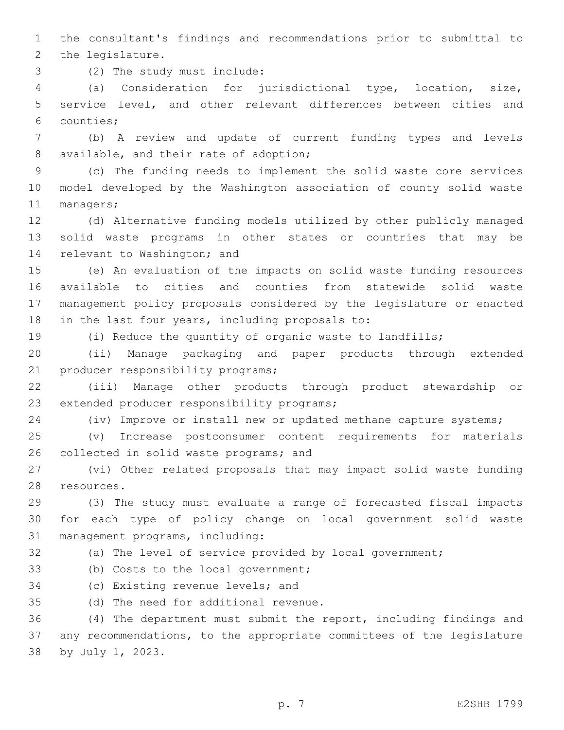1 the consultant's findings and recommendations prior to submittal to 2 the legislature.

(2) The study must include:3

4 (a) Consideration for jurisdictional type, location, size, 5 service level, and other relevant differences between cities and 6 counties;

7 (b) A review and update of current funding types and levels 8 available, and their rate of adoption;

9 (c) The funding needs to implement the solid waste core services 10 model developed by the Washington association of county solid waste 11 managers;

12 (d) Alternative funding models utilized by other publicly managed 13 solid waste programs in other states or countries that may be 14 relevant to Washington; and

 (e) An evaluation of the impacts on solid waste funding resources available to cities and counties from statewide solid waste management policy proposals considered by the legislature or enacted 18 in the last four years, including proposals to:

19 (i) Reduce the quantity of organic waste to landfills;

20 (ii) Manage packaging and paper products through extended 21 producer responsibility programs;

22 (iii) Manage other products through product stewardship or 23 extended producer responsibility programs;

24 (iv) Improve or install new or updated methane capture systems;

25 (v) Increase postconsumer content requirements for materials 26 collected in solid waste programs; and

27 (vi) Other related proposals that may impact solid waste funding 28 resources.

29 (3) The study must evaluate a range of forecasted fiscal impacts 30 for each type of policy change on local government solid waste 31 management programs, including:

32 (a) The level of service provided by local government;

33 (b) Costs to the local government;

34 (c) Existing revenue levels; and

35 (d) The need for additional revenue.

36 (4) The department must submit the report, including findings and 37 any recommendations, to the appropriate committees of the legislature 38 by July 1, 2023.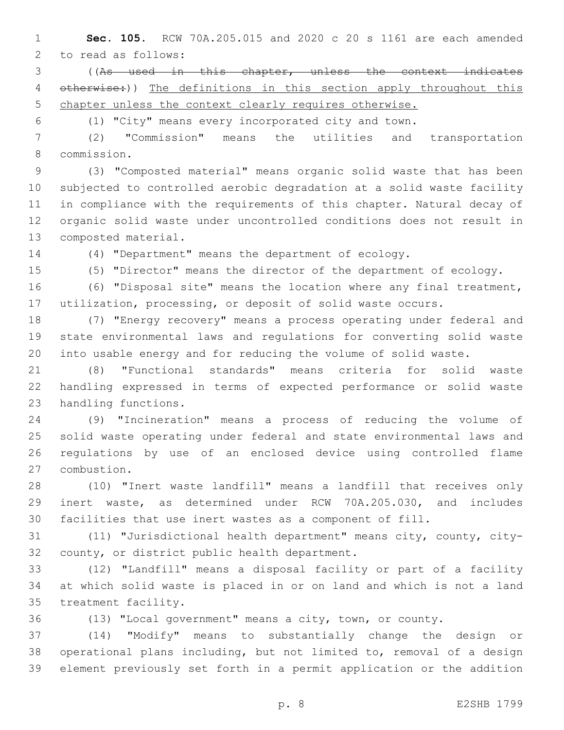**Sec. 105.** RCW 70A.205.015 and 2020 c 20 s 1161 are each amended 2 to read as follows:

 ((As used in this chapter, unless the context indicates 4 otherwise:)) The definitions in this section apply throughout this chapter unless the context clearly requires otherwise.

(1) "City" means every incorporated city and town.

 (2) "Commission" means the utilities and transportation commission.8

 (3) "Composted material" means organic solid waste that has been subjected to controlled aerobic degradation at a solid waste facility in compliance with the requirements of this chapter. Natural decay of organic solid waste under uncontrolled conditions does not result in 13 composted material.

(4) "Department" means the department of ecology.

(5) "Director" means the director of the department of ecology.

 (6) "Disposal site" means the location where any final treatment, utilization, processing, or deposit of solid waste occurs.

 (7) "Energy recovery" means a process operating under federal and state environmental laws and regulations for converting solid waste into usable energy and for reducing the volume of solid waste.

 (8) "Functional standards" means criteria for solid waste handling expressed in terms of expected performance or solid waste 23 handling functions.

 (9) "Incineration" means a process of reducing the volume of solid waste operating under federal and state environmental laws and regulations by use of an enclosed device using controlled flame 27 combustion.

 (10) "Inert waste landfill" means a landfill that receives only inert waste, as determined under RCW 70A.205.030, and includes facilities that use inert wastes as a component of fill.

 (11) "Jurisdictional health department" means city, county, city-32 county, or district public health department.

 (12) "Landfill" means a disposal facility or part of a facility at which solid waste is placed in or on land and which is not a land 35 treatment facility.

(13) "Local government" means a city, town, or county.

 (14) "Modify" means to substantially change the design or operational plans including, but not limited to, removal of a design element previously set forth in a permit application or the addition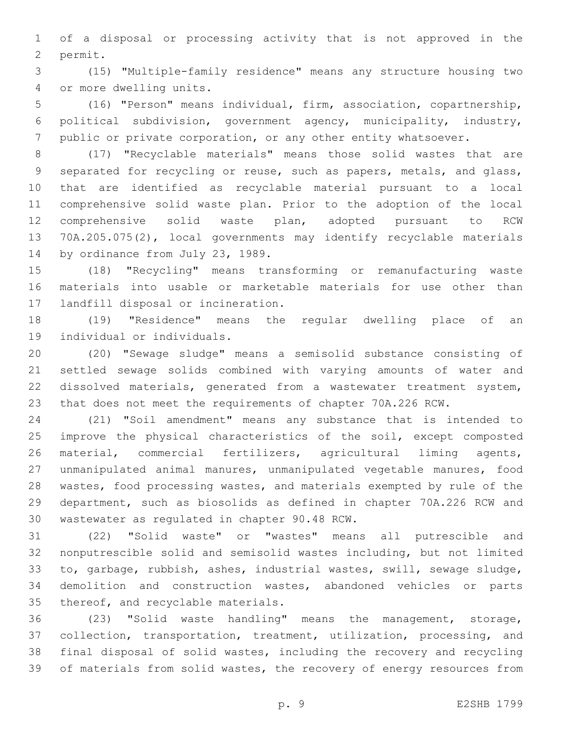of a disposal or processing activity that is not approved in the 2 permit.

 (15) "Multiple-family residence" means any structure housing two 4 or more dwelling units.

 (16) "Person" means individual, firm, association, copartnership, political subdivision, government agency, municipality, industry, public or private corporation, or any other entity whatsoever.

 (17) "Recyclable materials" means those solid wastes that are separated for recycling or reuse, such as papers, metals, and glass, that are identified as recyclable material pursuant to a local comprehensive solid waste plan. Prior to the adoption of the local comprehensive solid waste plan, adopted pursuant to RCW 70A.205.075(2), local governments may identify recyclable materials 14 by ordinance from July 23, 1989.

 (18) "Recycling" means transforming or remanufacturing waste materials into usable or marketable materials for use other than 17 landfill disposal or incineration.

 (19) "Residence" means the regular dwelling place of an 19 individual or individuals.

 (20) "Sewage sludge" means a semisolid substance consisting of settled sewage solids combined with varying amounts of water and dissolved materials, generated from a wastewater treatment system, that does not meet the requirements of chapter 70A.226 RCW.

 (21) "Soil amendment" means any substance that is intended to improve the physical characteristics of the soil, except composted material, commercial fertilizers, agricultural liming agents, unmanipulated animal manures, unmanipulated vegetable manures, food wastes, food processing wastes, and materials exempted by rule of the department, such as biosolids as defined in chapter 70A.226 RCW and 30 wastewater as regulated in chapter 90.48 RCW.

 (22) "Solid waste" or "wastes" means all putrescible and nonputrescible solid and semisolid wastes including, but not limited to, garbage, rubbish, ashes, industrial wastes, swill, sewage sludge, demolition and construction wastes, abandoned vehicles or parts 35 thereof, and recyclable materials.

 (23) "Solid waste handling" means the management, storage, collection, transportation, treatment, utilization, processing, and final disposal of solid wastes, including the recovery and recycling 39 of materials from solid wastes, the recovery of energy resources from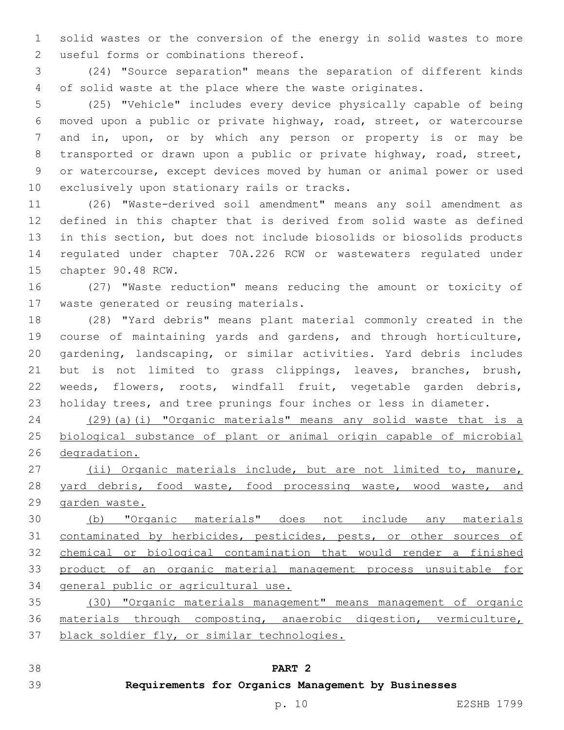solid wastes or the conversion of the energy in solid wastes to more 2 useful forms or combinations thereof.

 (24) "Source separation" means the separation of different kinds of solid waste at the place where the waste originates.

 (25) "Vehicle" includes every device physically capable of being moved upon a public or private highway, road, street, or watercourse and in, upon, or by which any person or property is or may be transported or drawn upon a public or private highway, road, street, or watercourse, except devices moved by human or animal power or used 10 exclusively upon stationary rails or tracks.

 (26) "Waste-derived soil amendment" means any soil amendment as defined in this chapter that is derived from solid waste as defined in this section, but does not include biosolids or biosolids products regulated under chapter 70A.226 RCW or wastewaters regulated under 15 chapter 90.48 RCW.

 (27) "Waste reduction" means reducing the amount or toxicity of 17 waste generated or reusing materials.

 (28) "Yard debris" means plant material commonly created in the course of maintaining yards and gardens, and through horticulture, gardening, landscaping, or similar activities. Yard debris includes but is not limited to grass clippings, leaves, branches, brush, weeds, flowers, roots, windfall fruit, vegetable garden debris, holiday trees, and tree prunings four inches or less in diameter.

 (29)(a)(i) "Organic materials" means any solid waste that is a biological substance of plant or animal origin capable of microbial degradation.

 (ii) Organic materials include, but are not limited to, manure, 28 yard debris, food waste, food processing waste, wood waste, and garden waste.

 (b) "Organic materials" does not include any materials contaminated by herbicides, pesticides, pests, or other sources of chemical or biological contamination that would render a finished product of an organic material management process unsuitable for general public or agricultural use.

 (30) "Organic materials management" means management of organic materials through composting, anaerobic digestion, vermiculture, black soldier fly, or similar technologies.

#### **PART 2**

## **Requirements for Organics Management by Businesses**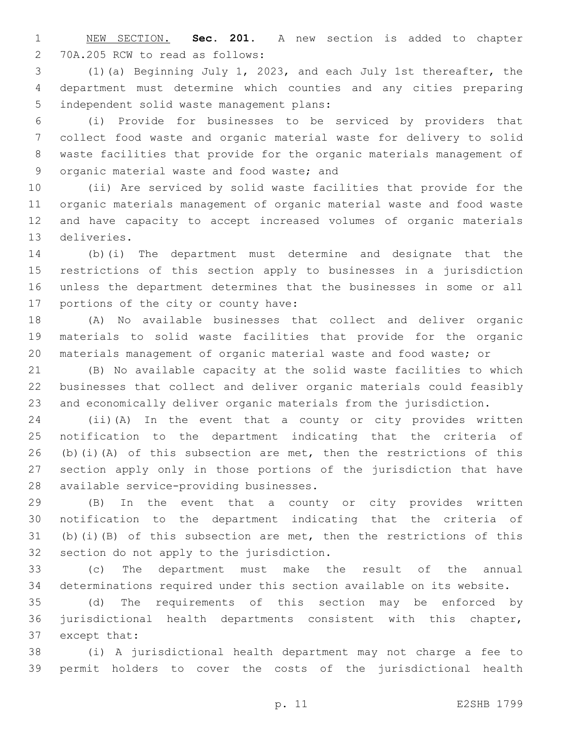NEW SECTION. **Sec. 201.** A new section is added to chapter 70A.205 RCW to read as follows:2

 (1)(a) Beginning July 1, 2023, and each July 1st thereafter, the department must determine which counties and any cities preparing 5 independent solid waste management plans:

 (i) Provide for businesses to be serviced by providers that collect food waste and organic material waste for delivery to solid waste facilities that provide for the organic materials management of 9 organic material waste and food waste; and

 (ii) Are serviced by solid waste facilities that provide for the organic materials management of organic material waste and food waste and have capacity to accept increased volumes of organic materials 13 deliveries.

 (b)(i) The department must determine and designate that the restrictions of this section apply to businesses in a jurisdiction unless the department determines that the businesses in some or all 17 portions of the city or county have:

 (A) No available businesses that collect and deliver organic materials to solid waste facilities that provide for the organic materials management of organic material waste and food waste; or

 (B) No available capacity at the solid waste facilities to which businesses that collect and deliver organic materials could feasibly and economically deliver organic materials from the jurisdiction.

 (ii)(A) In the event that a county or city provides written notification to the department indicating that the criteria of (b)(i)(A) of this subsection are met, then the restrictions of this section apply only in those portions of the jurisdiction that have 28 available service-providing businesses.

 (B) In the event that a county or city provides written notification to the department indicating that the criteria of 31 (b)(i)(B) of this subsection are met, then the restrictions of this 32 section do not apply to the jurisdiction.

 (c) The department must make the result of the annual determinations required under this section available on its website.

 (d) The requirements of this section may be enforced by jurisdictional health departments consistent with this chapter, 37 except that:

 (i) A jurisdictional health department may not charge a fee to permit holders to cover the costs of the jurisdictional health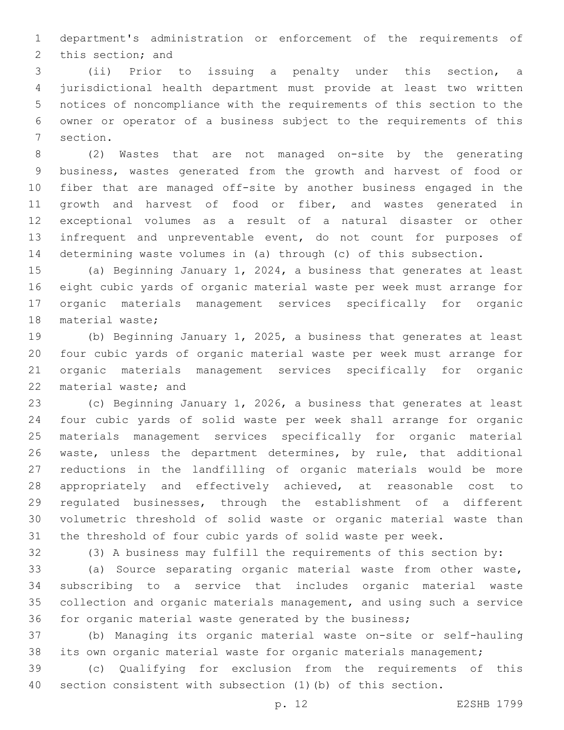department's administration or enforcement of the requirements of 2 this section; and

 (ii) Prior to issuing a penalty under this section, a jurisdictional health department must provide at least two written notices of noncompliance with the requirements of this section to the owner or operator of a business subject to the requirements of this 7 section.

 (2) Wastes that are not managed on-site by the generating business, wastes generated from the growth and harvest of food or fiber that are managed off-site by another business engaged in the 11 growth and harvest of food or fiber, and wastes generated in exceptional volumes as a result of a natural disaster or other infrequent and unpreventable event, do not count for purposes of determining waste volumes in (a) through (c) of this subsection.

 (a) Beginning January 1, 2024, a business that generates at least eight cubic yards of organic material waste per week must arrange for organic materials management services specifically for organic 18 material waste;

 (b) Beginning January 1, 2025, a business that generates at least four cubic yards of organic material waste per week must arrange for organic materials management services specifically for organic 22 material waste; and

 (c) Beginning January 1, 2026, a business that generates at least four cubic yards of solid waste per week shall arrange for organic materials management services specifically for organic material waste, unless the department determines, by rule, that additional reductions in the landfilling of organic materials would be more appropriately and effectively achieved, at reasonable cost to regulated businesses, through the establishment of a different volumetric threshold of solid waste or organic material waste than the threshold of four cubic yards of solid waste per week.

(3) A business may fulfill the requirements of this section by:

 (a) Source separating organic material waste from other waste, subscribing to a service that includes organic material waste collection and organic materials management, and using such a service for organic material waste generated by the business;

 (b) Managing its organic material waste on-site or self-hauling its own organic material waste for organic materials management;

 (c) Qualifying for exclusion from the requirements of this section consistent with subsection (1)(b) of this section.

p. 12 E2SHB 1799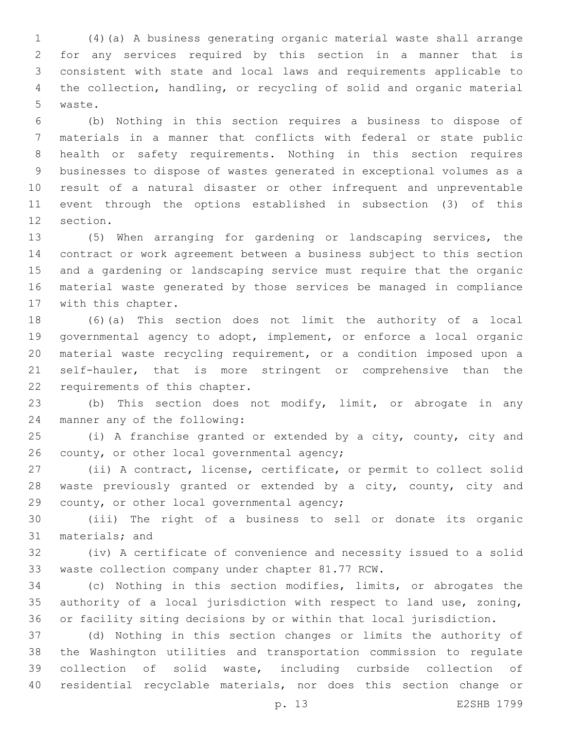(4)(a) A business generating organic material waste shall arrange for any services required by this section in a manner that is consistent with state and local laws and requirements applicable to the collection, handling, or recycling of solid and organic material 5 waste.

 (b) Nothing in this section requires a business to dispose of materials in a manner that conflicts with federal or state public health or safety requirements. Nothing in this section requires businesses to dispose of wastes generated in exceptional volumes as a result of a natural disaster or other infrequent and unpreventable event through the options established in subsection (3) of this 12 section.

 (5) When arranging for gardening or landscaping services, the contract or work agreement between a business subject to this section and a gardening or landscaping service must require that the organic material waste generated by those services be managed in compliance 17 with this chapter.

 (6)(a) This section does not limit the authority of a local governmental agency to adopt, implement, or enforce a local organic material waste recycling requirement, or a condition imposed upon a self-hauler, that is more stringent or comprehensive than the 22 requirements of this chapter.

 (b) This section does not modify, limit, or abrogate in any 24 manner any of the following:

 (i) A franchise granted or extended by a city, county, city and 26 county, or other local governmental agency;

 (ii) A contract, license, certificate, or permit to collect solid 28 waste previously granted or extended by a city, county, city and 29 county, or other local governmental agency;

 (iii) The right of a business to sell or donate its organic 31 materials; and

 (iv) A certificate of convenience and necessity issued to a solid 33 waste collection company under chapter 81.77 RCW.

 (c) Nothing in this section modifies, limits, or abrogates the authority of a local jurisdiction with respect to land use, zoning, or facility siting decisions by or within that local jurisdiction.

 (d) Nothing in this section changes or limits the authority of the Washington utilities and transportation commission to regulate collection of solid waste, including curbside collection of residential recyclable materials, nor does this section change or

p. 13 E2SHB 1799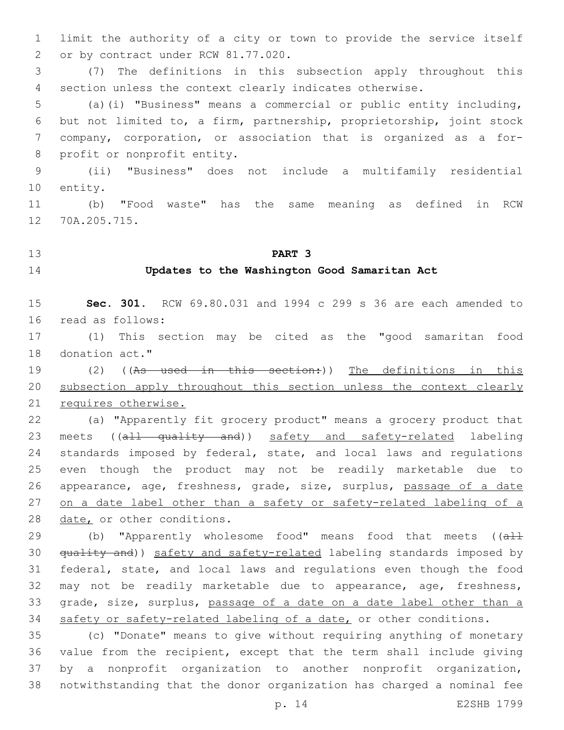limit the authority of a city or town to provide the service itself 2 or by contract under RCW 81.77.020.

 (7) The definitions in this subsection apply throughout this section unless the context clearly indicates otherwise.

 (a)(i) "Business" means a commercial or public entity including, but not limited to, a firm, partnership, proprietorship, joint stock company, corporation, or association that is organized as a for-8 profit or nonprofit entity.

 (ii) "Business" does not include a multifamily residential 10 entity.

 (b) "Food waste" has the same meaning as defined in RCW 12 70A.205.715.

## **PART 3**

#### **Updates to the Washington Good Samaritan Act**

 **Sec. 301.** RCW 69.80.031 and 1994 c 299 s 36 are each amended to 16 read as follows:

 (1) This section may be cited as the "good samaritan food 18 donation act."

19 (2) ((As used in this section:)) The definitions in this subsection apply throughout this section unless the context clearly requires otherwise.

 (a) "Apparently fit grocery product" means a grocery product that 23 meets ((all quality and)) safety and safety-related labeling standards imposed by federal, state, and local laws and regulations even though the product may not be readily marketable due to 26 appearance, age, freshness, grade, size, surplus, passage of a date on a date label other than a safety or safety-related labeling of a 28 date, or other conditions.

29 (b) "Apparently wholesome food" means food that meets ((all 30 quality and)) safety and safety-related labeling standards imposed by federal, state, and local laws and regulations even though the food may not be readily marketable due to appearance, age, freshness, 33 grade, size, surplus, passage of a date on a date label other than a 34 safety or safety-related labeling of a date, or other conditions.

 (c) "Donate" means to give without requiring anything of monetary value from the recipient, except that the term shall include giving by a nonprofit organization to another nonprofit organization, notwithstanding that the donor organization has charged a nominal fee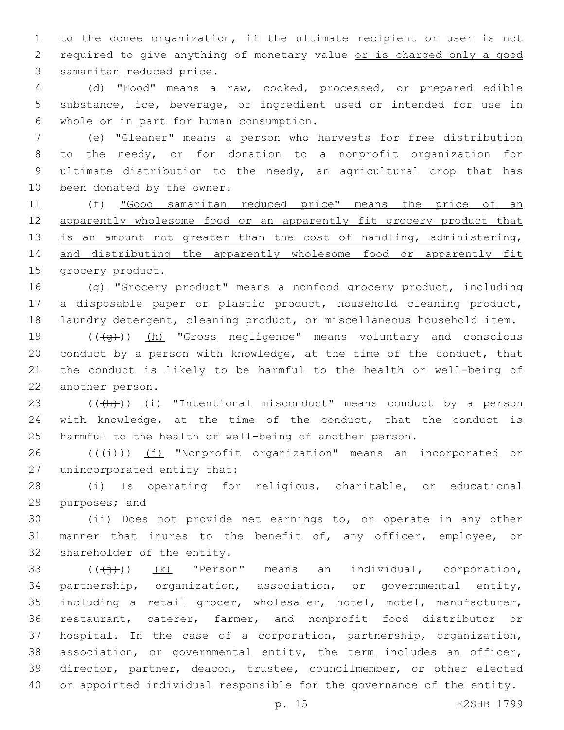to the donee organization, if the ultimate recipient or user is not required to give anything of monetary value or is charged only a good 3 samaritan reduced price.

 (d) "Food" means a raw, cooked, processed, or prepared edible substance, ice, beverage, or ingredient used or intended for use in whole or in part for human consumption.6

 (e) "Gleaner" means a person who harvests for free distribution to the needy, or for donation to a nonprofit organization for ultimate distribution to the needy, an agricultural crop that has 10 been donated by the owner.

 (f) "Good samaritan reduced price" means the price of an apparently wholesome food or an apparently fit grocery product that 13 is an amount not greater than the cost of handling, administering, 14 and distributing the apparently wholesome food or apparently fit grocery product.

16 (g) "Grocery product" means a nonfood grocery product, including a disposable paper or plastic product, household cleaning product, laundry detergent, cleaning product, or miscellaneous household item.

19 (((+q))) (h) "Gross negligence" means voluntary and conscious conduct by a person with knowledge, at the time of the conduct, that the conduct is likely to be harmful to the health or well-being of 22 another person.

23 (((h))) (i) "Intentional misconduct" means conduct by a person with knowledge, at the time of the conduct, that the conduct is harmful to the health or well-being of another person.

26  $((+i))$  (j) "Nonprofit organization" means an incorporated or 27 unincorporated entity that:

 (i) Is operating for religious, charitable, or educational 29 purposes; and

 (ii) Does not provide net earnings to, or operate in any other manner that inures to the benefit of, any officer, employee, or 32 shareholder of the entity.

 $((\overleftrightarrow{+}))$   $(k)$  "Person" means an individual, corporation, partnership, organization, association, or governmental entity, including a retail grocer, wholesaler, hotel, motel, manufacturer, restaurant, caterer, farmer, and nonprofit food distributor or hospital. In the case of a corporation, partnership, organization, association, or governmental entity, the term includes an officer, director, partner, deacon, trustee, councilmember, or other elected or appointed individual responsible for the governance of the entity.

p. 15 E2SHB 1799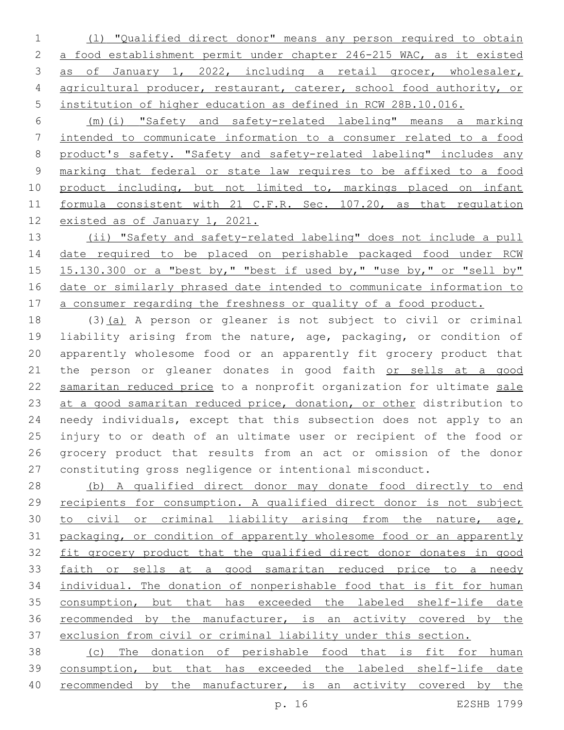(l) "Qualified direct donor" means any person required to obtain a food establishment permit under chapter 246-215 WAC, as it existed as of January 1, 2022, including a retail grocer, wholesaler, agricultural producer, restaurant, caterer, school food authority, or institution of higher education as defined in RCW 28B.10.016.

 (m)(i) "Safety and safety-related labeling" means a marking intended to communicate information to a consumer related to a food product's safety. "Safety and safety-related labeling" includes any marking that federal or state law requires to be affixed to a food 10 product including, but not limited to, markings placed on infant formula consistent with 21 C.F.R. Sec. 107.20, as that regulation existed as of January 1, 2021.

 (ii) "Safety and safety-related labeling" does not include a pull 14 date required to be placed on perishable packaged food under RCW 15.130.300 or a "best by," "best if used by," "use by," or "sell by" date or similarly phrased date intended to communicate information to 17 a consumer regarding the freshness or quality of a food product.

 (3)(a) A person or gleaner is not subject to civil or criminal liability arising from the nature, age, packaging, or condition of apparently wholesome food or an apparently fit grocery product that 21 the person or gleaner donates in good faith or sells at a good 22 samaritan reduced price to a nonprofit organization for ultimate sale 23 at a good samaritan reduced price, donation, or other distribution to needy individuals, except that this subsection does not apply to an injury to or death of an ultimate user or recipient of the food or grocery product that results from an act or omission of the donor constituting gross negligence or intentional misconduct.

 (b) A qualified direct donor may donate food directly to end recipients for consumption. A qualified direct donor is not subject to civil or criminal liability arising from the nature, age, packaging, or condition of apparently wholesome food or an apparently 32 fit grocery product that the qualified direct donor donates in good faith or sells at a good samaritan reduced price to a needy individual. The donation of nonperishable food that is fit for human consumption, but that has exceeded the labeled shelf-life date recommended by the manufacturer, is an activity covered by the exclusion from civil or criminal liability under this section.

 (c) The donation of perishable food that is fit for human consumption, but that has exceeded the labeled shelf-life date recommended by the manufacturer, is an activity covered by the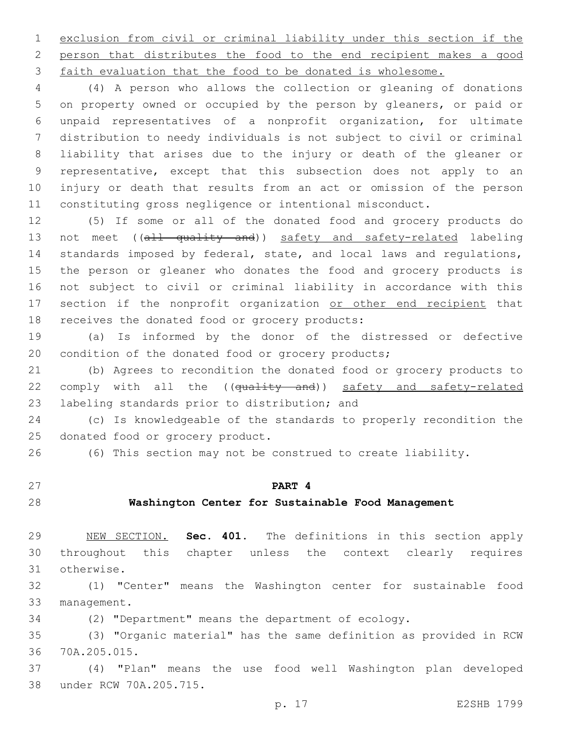exclusion from civil or criminal liability under this section if the person that distributes the food to the end recipient makes a good faith evaluation that the food to be donated is wholesome.

 (4) A person who allows the collection or gleaning of donations on property owned or occupied by the person by gleaners, or paid or unpaid representatives of a nonprofit organization, for ultimate distribution to needy individuals is not subject to civil or criminal liability that arises due to the injury or death of the gleaner or representative, except that this subsection does not apply to an injury or death that results from an act or omission of the person constituting gross negligence or intentional misconduct.

 (5) If some or all of the donated food and grocery products do 13 not meet ((all quality and)) safety and safety-related labeling standards imposed by federal, state, and local laws and regulations, the person or gleaner who donates the food and grocery products is not subject to civil or criminal liability in accordance with this 17 section if the nonprofit organization or other end recipient that 18 receives the donated food or grocery products:

 (a) Is informed by the donor of the distressed or defective condition of the donated food or grocery products;

 (b) Agrees to recondition the donated food or grocery products to 22 comply with all the ((quality and)) safety and safety-related 23 labeling standards prior to distribution; and

 (c) Is knowledgeable of the standards to properly recondition the 25 donated food or grocery product.

(6) This section may not be construed to create liability.

### **PART 4**

#### **Washington Center for Sustainable Food Management**

 NEW SECTION. **Sec. 401.** The definitions in this section apply throughout this chapter unless the context clearly requires otherwise.

 (1) "Center" means the Washington center for sustainable food 33 management.

(2) "Department" means the department of ecology.

 (3) "Organic material" has the same definition as provided in RCW 70A.205.015.36

 (4) "Plan" means the use food well Washington plan developed 38 under RCW 70A.205.715.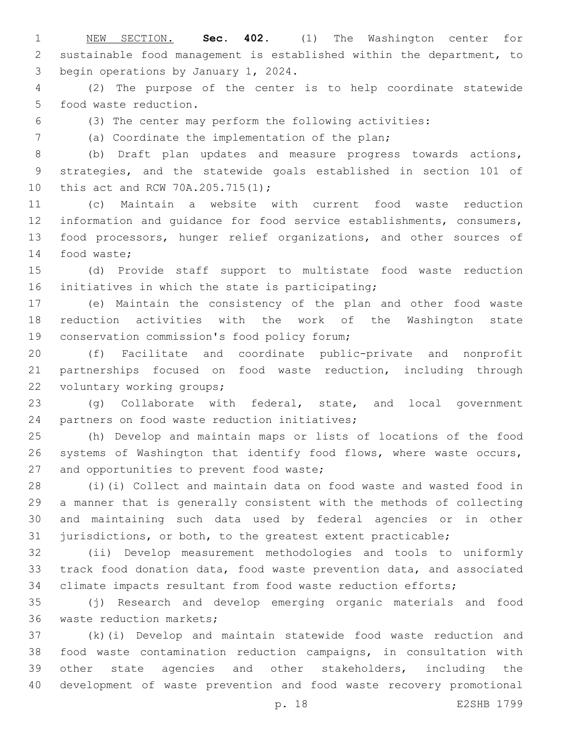NEW SECTION. **Sec. 402.** (1) The Washington center for sustainable food management is established within the department, to begin operations by January 1, 2024.

 (2) The purpose of the center is to help coordinate statewide 5 food waste reduction.

(3) The center may perform the following activities:

(a) Coordinate the implementation of the plan;7

 (b) Draft plan updates and measure progress towards actions, strategies, and the statewide goals established in section 101 of 10 this act and RCW 70A.205.715(1);

 (c) Maintain a website with current food waste reduction information and guidance for food service establishments, consumers, food processors, hunger relief organizations, and other sources of 14 food waste;

 (d) Provide staff support to multistate food waste reduction 16 initiatives in which the state is participating;

 (e) Maintain the consistency of the plan and other food waste reduction activities with the work of the Washington state 19 conservation commission's food policy forum;

 (f) Facilitate and coordinate public-private and nonprofit partnerships focused on food waste reduction, including through 22 voluntary working groups;

 (g) Collaborate with federal, state, and local government 24 partners on food waste reduction initiatives;

 (h) Develop and maintain maps or lists of locations of the food systems of Washington that identify food flows, where waste occurs, 27 and opportunities to prevent food waste;

 (i)(i) Collect and maintain data on food waste and wasted food in a manner that is generally consistent with the methods of collecting and maintaining such data used by federal agencies or in other jurisdictions, or both, to the greatest extent practicable;

 (ii) Develop measurement methodologies and tools to uniformly track food donation data, food waste prevention data, and associated climate impacts resultant from food waste reduction efforts;

 (j) Research and develop emerging organic materials and food 36 waste reduction markets;

 (k)(i) Develop and maintain statewide food waste reduction and food waste contamination reduction campaigns, in consultation with other state agencies and other stakeholders, including the development of waste prevention and food waste recovery promotional

p. 18 E2SHB 1799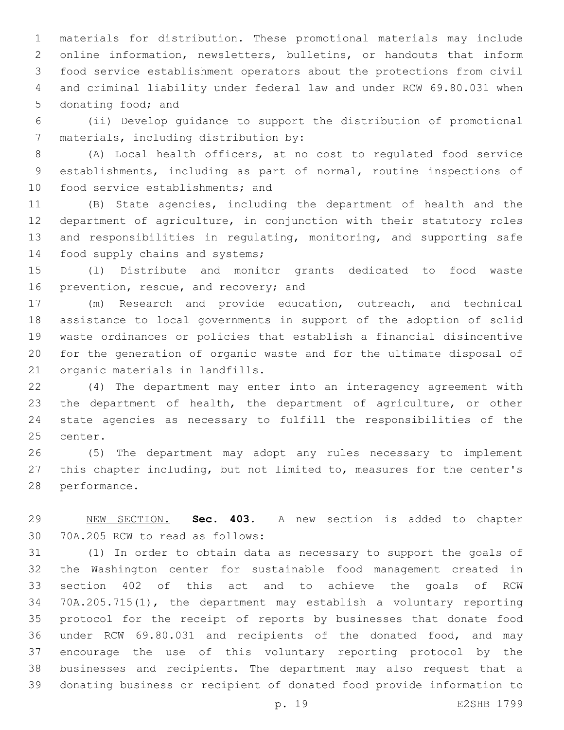materials for distribution. These promotional materials may include online information, newsletters, bulletins, or handouts that inform food service establishment operators about the protections from civil and criminal liability under federal law and under RCW 69.80.031 when 5 donating food; and

 (ii) Develop guidance to support the distribution of promotional 7 materials, including distribution by:

 (A) Local health officers, at no cost to regulated food service establishments, including as part of normal, routine inspections of 10 food service establishments; and

 (B) State agencies, including the department of health and the department of agriculture, in conjunction with their statutory roles and responsibilities in regulating, monitoring, and supporting safe 14 food supply chains and systems;

 (l) Distribute and monitor grants dedicated to food waste 16 prevention, rescue, and recovery; and

 (m) Research and provide education, outreach, and technical assistance to local governments in support of the adoption of solid waste ordinances or policies that establish a financial disincentive for the generation of organic waste and for the ultimate disposal of 21 organic materials in landfills.

 (4) The department may enter into an interagency agreement with the department of health, the department of agriculture, or other state agencies as necessary to fulfill the responsibilities of the 25 center.

 (5) The department may adopt any rules necessary to implement this chapter including, but not limited to, measures for the center's 28 performance.

 NEW SECTION. **Sec. 403.** A new section is added to chapter 30 70A.205 RCW to read as follows:

 (1) In order to obtain data as necessary to support the goals of the Washington center for sustainable food management created in section 402 of this act and to achieve the goals of RCW 70A.205.715(1), the department may establish a voluntary reporting protocol for the receipt of reports by businesses that donate food under RCW 69.80.031 and recipients of the donated food, and may encourage the use of this voluntary reporting protocol by the businesses and recipients. The department may also request that a donating business or recipient of donated food provide information to

p. 19 E2SHB 1799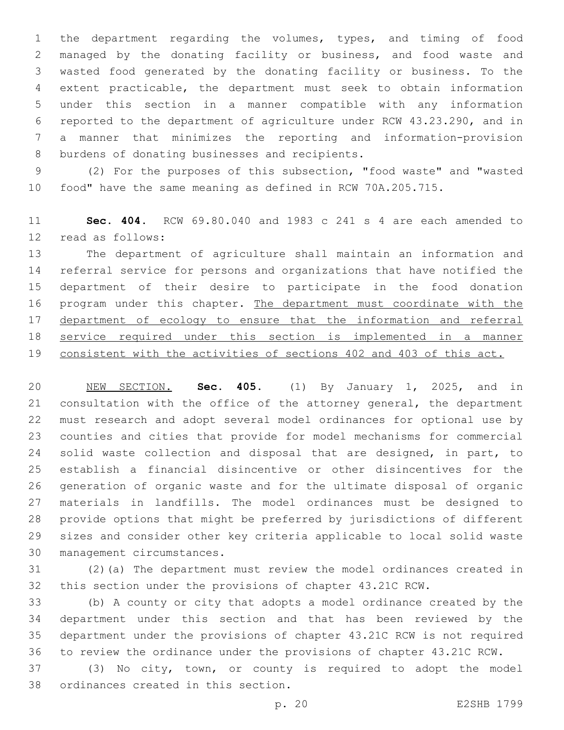the department regarding the volumes, types, and timing of food managed by the donating facility or business, and food waste and wasted food generated by the donating facility or business. To the extent practicable, the department must seek to obtain information under this section in a manner compatible with any information reported to the department of agriculture under RCW 43.23.290, and in a manner that minimizes the reporting and information-provision 8 burdens of donating businesses and recipients.

 (2) For the purposes of this subsection, "food waste" and "wasted food" have the same meaning as defined in RCW 70A.205.715.

 **Sec. 404.** RCW 69.80.040 and 1983 c 241 s 4 are each amended to 12 read as follows:

 The department of agriculture shall maintain an information and referral service for persons and organizations that have notified the department of their desire to participate in the food donation 16 program under this chapter. The department must coordinate with the 17 department of ecology to ensure that the information and referral service required under this section is implemented in a manner consistent with the activities of sections 402 and 403 of this act.

 NEW SECTION. **Sec. 405.** (1) By January 1, 2025, and in consultation with the office of the attorney general, the department must research and adopt several model ordinances for optional use by counties and cities that provide for model mechanisms for commercial solid waste collection and disposal that are designed, in part, to establish a financial disincentive or other disincentives for the generation of organic waste and for the ultimate disposal of organic materials in landfills. The model ordinances must be designed to provide options that might be preferred by jurisdictions of different sizes and consider other key criteria applicable to local solid waste management circumstances.

 (2)(a) The department must review the model ordinances created in this section under the provisions of chapter 43.21C RCW.

 (b) A county or city that adopts a model ordinance created by the department under this section and that has been reviewed by the department under the provisions of chapter 43.21C RCW is not required to review the ordinance under the provisions of chapter 43.21C RCW.

 (3) No city, town, or county is required to adopt the model 38 ordinances created in this section.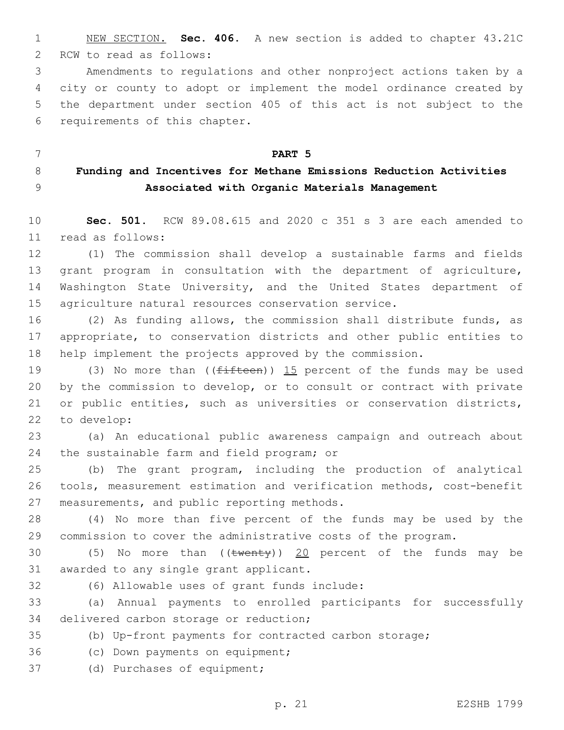1 NEW SECTION. **Sec. 406.** A new section is added to chapter 43.21C 2 RCW to read as follows:

 Amendments to regulations and other nonproject actions taken by a city or county to adopt or implement the model ordinance created by the department under section 405 of this act is not subject to the 6 requirements of this chapter.

7 **PART 5** 8 **Funding and Incentives for Methane Emissions Reduction Activities**  9 **Associated with Organic Materials Management**

10 **Sec. 501.** RCW 89.08.615 and 2020 c 351 s 3 are each amended to read as follows:11

12 (1) The commission shall develop a sustainable farms and fields 13 grant program in consultation with the department of agriculture, 14 Washington State University, and the United States department of 15 agriculture natural resources conservation service.

16 (2) As funding allows, the commission shall distribute funds, as 17 appropriate, to conservation districts and other public entities to 18 help implement the projects approved by the commission.

19 (3) No more than  $($  ( $f$ ifteen)) 15 percent of the funds may be used 20 by the commission to develop, or to consult or contract with private 21 or public entities, such as universities or conservation districts, 22 to develop:

23 (a) An educational public awareness campaign and outreach about 24 the sustainable farm and field program; or

25 (b) The grant program, including the production of analytical 26 tools, measurement estimation and verification methods, cost-benefit 27 measurements, and public reporting methods.

28 (4) No more than five percent of the funds may be used by the 29 commission to cover the administrative costs of the program.

30 (5) No more than  $((\text{twenty}))$  20 percent of the funds may be 31 awarded to any single grant applicant.

(6) Allowable uses of grant funds include:32

33 (a) Annual payments to enrolled participants for successfully 34 delivered carbon storage or reduction;

35 (b) Up-front payments for contracted carbon storage;

36 (c) Down payments on equipment;

37 (d) Purchases of equipment;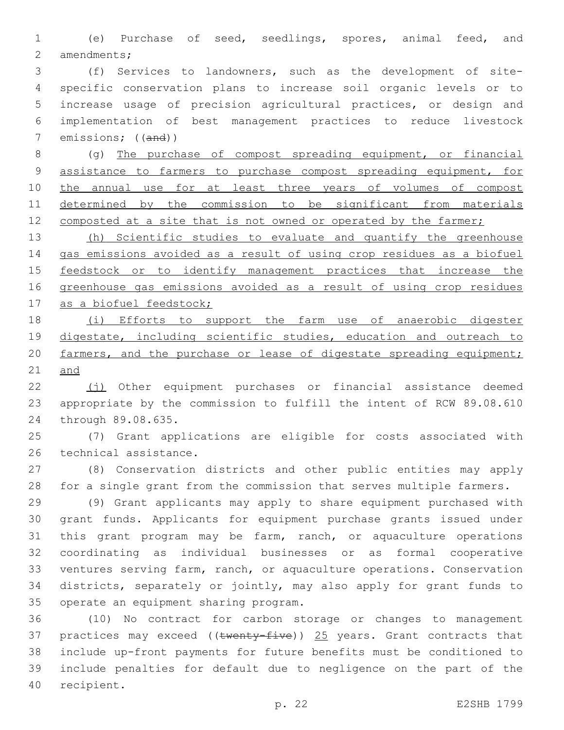(e) Purchase of seed, seedlings, spores, animal feed, and 2 amendments;

 (f) Services to landowners, such as the development of site- specific conservation plans to increase soil organic levels or to increase usage of precision agricultural practices, or design and implementation of best management practices to reduce livestock emissions; ((and))

 (g) The purchase of compost spreading equipment, or financial assistance to farmers to purchase compost spreading equipment, for 10 the annual use for at least three years of volumes of compost determined by the commission to be significant from materials 12 composted at a site that is not owned or operated by the farmer;

 (h) Scientific studies to evaluate and quantify the greenhouse gas emissions avoided as a result of using crop residues as a biofuel 15 feedstock or to identify management practices that increase the greenhouse gas emissions avoided as a result of using crop residues 17 as a biofuel feedstock;

 (i) Efforts to support the farm use of anaerobic digester digestate, including scientific studies, education and outreach to 20 farmers, and the purchase or lease of digestate spreading equipment; and

 (j) Other equipment purchases or financial assistance deemed appropriate by the commission to fulfill the intent of RCW 89.08.610 24 through 89.08.635.

 (7) Grant applications are eligible for costs associated with 26 technical assistance.

 (8) Conservation districts and other public entities may apply for a single grant from the commission that serves multiple farmers.

 (9) Grant applicants may apply to share equipment purchased with grant funds. Applicants for equipment purchase grants issued under this grant program may be farm, ranch, or aquaculture operations coordinating as individual businesses or as formal cooperative ventures serving farm, ranch, or aquaculture operations. Conservation districts, separately or jointly, may also apply for grant funds to 35 operate an equipment sharing program.

 (10) No contract for carbon storage or changes to management 37 practices may exceed (( $t$ wenty-five)) 25 years. Grant contracts that include up-front payments for future benefits must be conditioned to include penalties for default due to negligence on the part of the 40 recipient.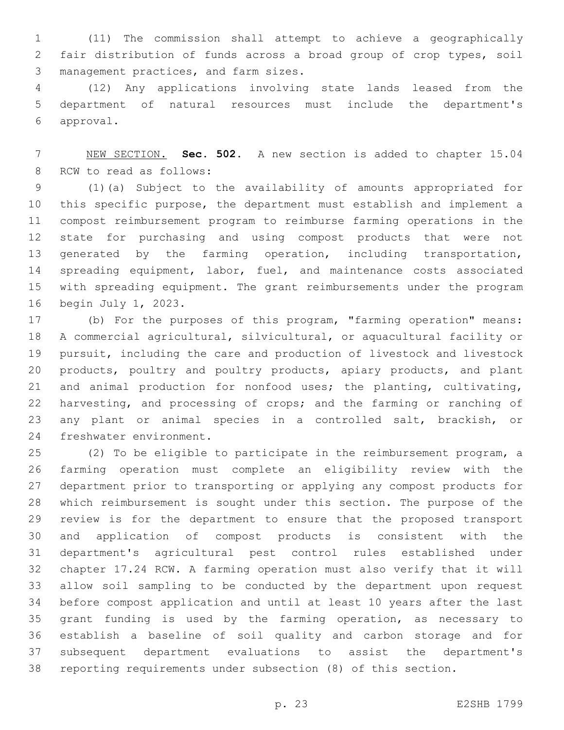(11) The commission shall attempt to achieve a geographically fair distribution of funds across a broad group of crop types, soil 3 management practices, and farm sizes.

 (12) Any applications involving state lands leased from the department of natural resources must include the department's approval.6

 NEW SECTION. **Sec. 502.** A new section is added to chapter 15.04 8 RCW to read as follows:

 (1)(a) Subject to the availability of amounts appropriated for this specific purpose, the department must establish and implement a compost reimbursement program to reimburse farming operations in the state for purchasing and using compost products that were not generated by the farming operation, including transportation, 14 spreading equipment, labor, fuel, and maintenance costs associated with spreading equipment. The grant reimbursements under the program 16 begin July 1, 2023.

 (b) For the purposes of this program, "farming operation" means: A commercial agricultural, silvicultural, or aquacultural facility or pursuit, including the care and production of livestock and livestock products, poultry and poultry products, apiary products, and plant and animal production for nonfood uses; the planting, cultivating, harvesting, and processing of crops; and the farming or ranching of any plant or animal species in a controlled salt, brackish, or 24 freshwater environment.

 (2) To be eligible to participate in the reimbursement program, a farming operation must complete an eligibility review with the department prior to transporting or applying any compost products for which reimbursement is sought under this section. The purpose of the review is for the department to ensure that the proposed transport and application of compost products is consistent with the department's agricultural pest control rules established under chapter 17.24 RCW. A farming operation must also verify that it will allow soil sampling to be conducted by the department upon request before compost application and until at least 10 years after the last grant funding is used by the farming operation, as necessary to establish a baseline of soil quality and carbon storage and for subsequent department evaluations to assist the department's reporting requirements under subsection (8) of this section.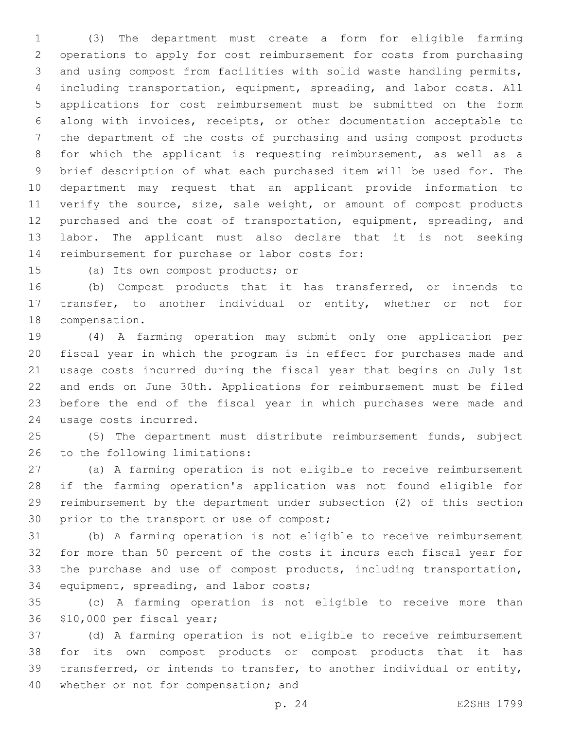(3) The department must create a form for eligible farming operations to apply for cost reimbursement for costs from purchasing and using compost from facilities with solid waste handling permits, including transportation, equipment, spreading, and labor costs. All applications for cost reimbursement must be submitted on the form along with invoices, receipts, or other documentation acceptable to the department of the costs of purchasing and using compost products for which the applicant is requesting reimbursement, as well as a brief description of what each purchased item will be used for. The department may request that an applicant provide information to verify the source, size, sale weight, or amount of compost products purchased and the cost of transportation, equipment, spreading, and labor. The applicant must also declare that it is not seeking 14 reimbursement for purchase or labor costs for:

15 (a) Its own compost products; or

 (b) Compost products that it has transferred, or intends to transfer, to another individual or entity, whether or not for 18 compensation.

 (4) A farming operation may submit only one application per fiscal year in which the program is in effect for purchases made and usage costs incurred during the fiscal year that begins on July 1st and ends on June 30th. Applications for reimbursement must be filed before the end of the fiscal year in which purchases were made and 24 usage costs incurred.

 (5) The department must distribute reimbursement funds, subject 26 to the following limitations:

 (a) A farming operation is not eligible to receive reimbursement if the farming operation's application was not found eligible for reimbursement by the department under subsection (2) of this section 30 prior to the transport or use of compost;

 (b) A farming operation is not eligible to receive reimbursement for more than 50 percent of the costs it incurs each fiscal year for 33 the purchase and use of compost products, including transportation, 34 equipment, spreading, and labor costs;

 (c) A farming operation is not eligible to receive more than 36 \$10,000 per fiscal year;

 (d) A farming operation is not eligible to receive reimbursement for its own compost products or compost products that it has transferred, or intends to transfer, to another individual or entity, 40 whether or not for compensation; and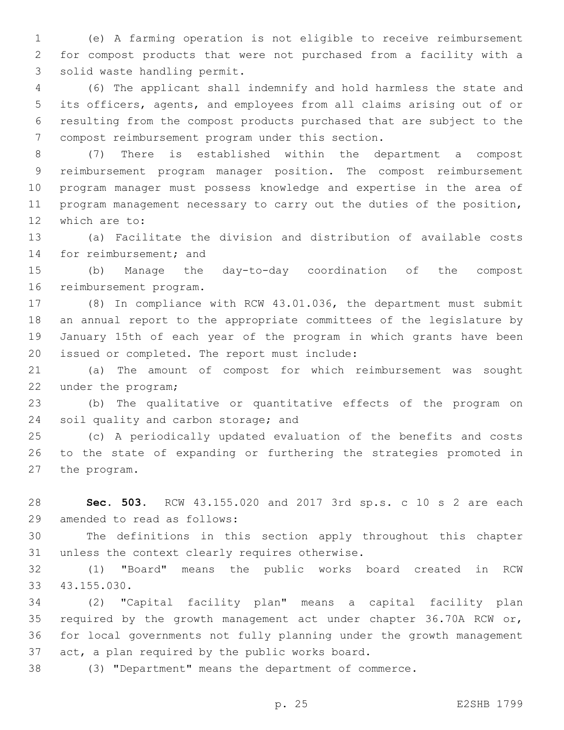(e) A farming operation is not eligible to receive reimbursement for compost products that were not purchased from a facility with a 3 solid waste handling permit.

 (6) The applicant shall indemnify and hold harmless the state and its officers, agents, and employees from all claims arising out of or resulting from the compost products purchased that are subject to the compost reimbursement program under this section.7

 (7) There is established within the department a compost reimbursement program manager position. The compost reimbursement program manager must possess knowledge and expertise in the area of program management necessary to carry out the duties of the position, 12 which are to:

 (a) Facilitate the division and distribution of available costs 14 for reimbursement; and

 (b) Manage the day-to-day coordination of the compost 16 reimbursement program.

 (8) In compliance with RCW 43.01.036, the department must submit an annual report to the appropriate committees of the legislature by January 15th of each year of the program in which grants have been 20 issued or completed. The report must include:

 (a) The amount of compost for which reimbursement was sought 22 under the program;

 (b) The qualitative or quantitative effects of the program on 24 soil quality and carbon storage; and

 (c) A periodically updated evaluation of the benefits and costs to the state of expanding or furthering the strategies promoted in 27 the program.

 **Sec. 503.** RCW 43.155.020 and 2017 3rd sp.s. c 10 s 2 are each 29 amended to read as follows:

 The definitions in this section apply throughout this chapter 31 unless the context clearly requires otherwise.

 (1) "Board" means the public works board created in RCW 33 43.155.030.

 (2) "Capital facility plan" means a capital facility plan required by the growth management act under chapter 36.70A RCW or, for local governments not fully planning under the growth management 37 act, a plan required by the public works board.

(3) "Department" means the department of commerce.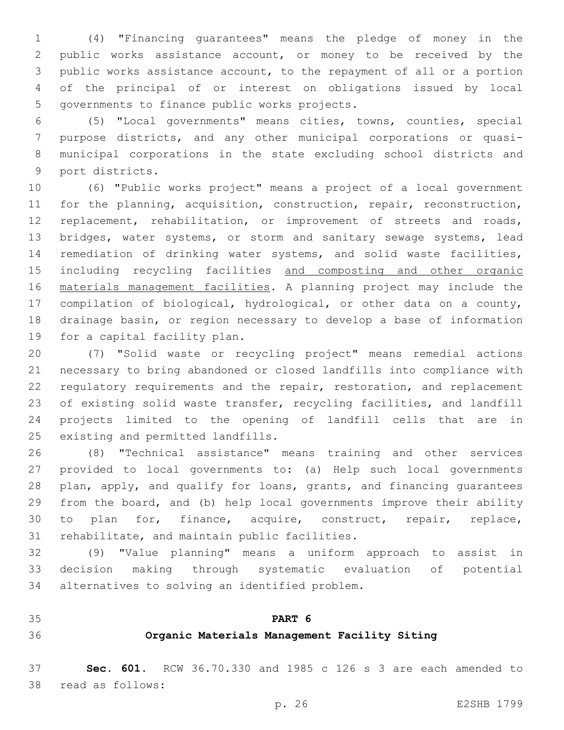(4) "Financing guarantees" means the pledge of money in the public works assistance account, or money to be received by the public works assistance account, to the repayment of all or a portion of the principal of or interest on obligations issued by local 5 governments to finance public works projects.

 (5) "Local governments" means cities, towns, counties, special purpose districts, and any other municipal corporations or quasi- municipal corporations in the state excluding school districts and 9 port districts.

 (6) "Public works project" means a project of a local government for the planning, acquisition, construction, repair, reconstruction, 12 replacement, rehabilitation, or improvement of streets and roads, bridges, water systems, or storm and sanitary sewage systems, lead remediation of drinking water systems, and solid waste facilities, 15 including recycling facilities and composting and other organic materials management facilities. A planning project may include the compilation of biological, hydrological, or other data on a county, drainage basin, or region necessary to develop a base of information 19 for a capital facility plan.

 (7) "Solid waste or recycling project" means remedial actions necessary to bring abandoned or closed landfills into compliance with regulatory requirements and the repair, restoration, and replacement of existing solid waste transfer, recycling facilities, and landfill projects limited to the opening of landfill cells that are in 25 existing and permitted landfills.

 (8) "Technical assistance" means training and other services provided to local governments to: (a) Help such local governments plan, apply, and qualify for loans, grants, and financing guarantees from the board, and (b) help local governments improve their ability to plan for, finance, acquire, construct, repair, replace, 31 rehabilitate, and maintain public facilities.

 (9) "Value planning" means a uniform approach to assist in decision making through systematic evaluation of potential 34 alternatives to solving an identified problem.

**PART 6**

## **Organic Materials Management Facility Siting**

 **Sec. 601.** RCW 36.70.330 and 1985 c 126 s 3 are each amended to 38 read as follows: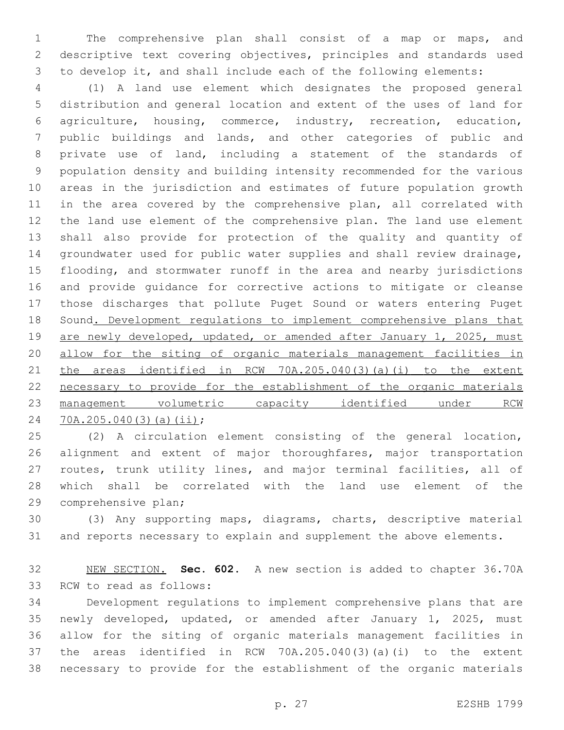The comprehensive plan shall consist of a map or maps, and descriptive text covering objectives, principles and standards used to develop it, and shall include each of the following elements:

 (1) A land use element which designates the proposed general distribution and general location and extent of the uses of land for agriculture, housing, commerce, industry, recreation, education, public buildings and lands, and other categories of public and private use of land, including a statement of the standards of population density and building intensity recommended for the various areas in the jurisdiction and estimates of future population growth in the area covered by the comprehensive plan, all correlated with the land use element of the comprehensive plan. The land use element shall also provide for protection of the quality and quantity of groundwater used for public water supplies and shall review drainage, flooding, and stormwater runoff in the area and nearby jurisdictions and provide guidance for corrective actions to mitigate or cleanse those discharges that pollute Puget Sound or waters entering Puget 18 Sound. Development regulations to implement comprehensive plans that 19 are newly developed, updated, or amended after January 1, 2025, must allow for the siting of organic materials management facilities in the areas identified in RCW 70A.205.040(3)(a)(i) to the extent necessary to provide for the establishment of the organic materials management volumetric capacity identified under RCW 24 70A.205.040(3)(a)(ii);

 (2) A circulation element consisting of the general location, 26 alignment and extent of major thoroughfares, major transportation routes, trunk utility lines, and major terminal facilities, all of which shall be correlated with the land use element of the 29 comprehensive plan;

 (3) Any supporting maps, diagrams, charts, descriptive material and reports necessary to explain and supplement the above elements.

 NEW SECTION. **Sec. 602.** A new section is added to chapter 36.70A 33 RCW to read as follows:

 Development regulations to implement comprehensive plans that are newly developed, updated, or amended after January 1, 2025, must allow for the siting of organic materials management facilities in the areas identified in RCW 70A.205.040(3)(a)(i) to the extent necessary to provide for the establishment of the organic materials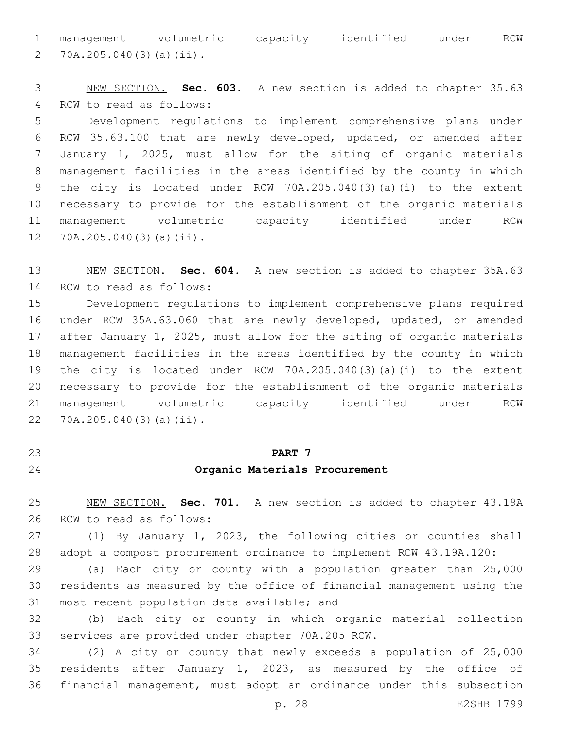management volumetric capacity identified under RCW 70A.205.040(3)(a)(ii).2

 NEW SECTION. **Sec. 603.** A new section is added to chapter 35.63 4 RCW to read as follows: Development regulations to implement comprehensive plans under RCW 35.63.100 that are newly developed, updated, or amended after January 1, 2025, must allow for the siting of organic materials management facilities in the areas identified by the county in which the city is located under RCW 70A.205.040(3)(a)(i) to the extent necessary to provide for the establishment of the organic materials

 management volumetric capacity identified under RCW 12 70A.205.040(3)(a)(ii).

 NEW SECTION. **Sec. 604.** A new section is added to chapter 35A.63 14 RCW to read as follows:

 Development regulations to implement comprehensive plans required under RCW 35A.63.060 that are newly developed, updated, or amended after January 1, 2025, must allow for the siting of organic materials management facilities in the areas identified by the county in which the city is located under RCW 70A.205.040(3)(a)(i) to the extent necessary to provide for the establishment of the organic materials management volumetric capacity identified under RCW 22 70A.205.040(3)(a)(ii).

#### **PART 7**

#### **Organic Materials Procurement**

 NEW SECTION. **Sec. 701.** A new section is added to chapter 43.19A 26 RCW to read as follows:

 (1) By January 1, 2023, the following cities or counties shall adopt a compost procurement ordinance to implement RCW 43.19A.120:

 (a) Each city or county with a population greater than 25,000 residents as measured by the office of financial management using the 31 most recent population data available; and

 (b) Each city or county in which organic material collection 33 services are provided under chapter 70A.205 RCW.

 (2) A city or county that newly exceeds a population of 25,000 residents after January 1, 2023, as measured by the office of financial management, must adopt an ordinance under this subsection

p. 28 E2SHB 1799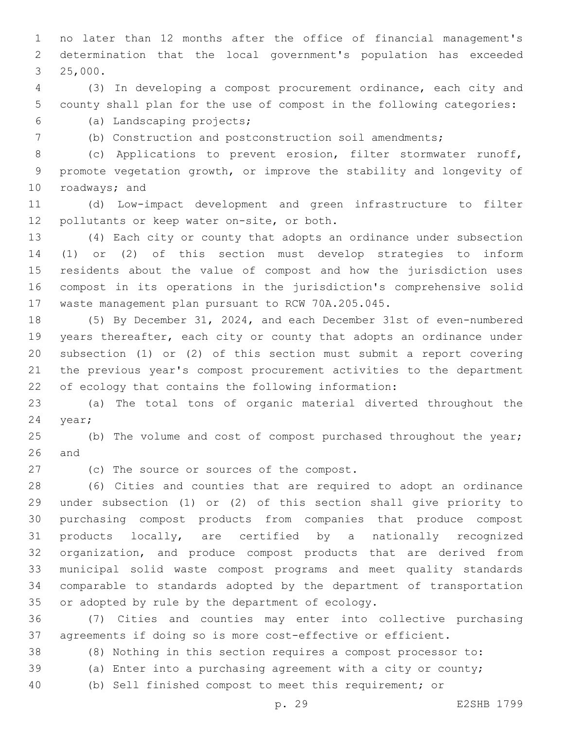no later than 12 months after the office of financial management's determination that the local government's population has exceeded 3 25,000.

 (3) In developing a compost procurement ordinance, each city and county shall plan for the use of compost in the following categories: (a) Landscaping projects;6

(b) Construction and postconstruction soil amendments;

 (c) Applications to prevent erosion, filter stormwater runoff, promote vegetation growth, or improve the stability and longevity of 10 roadways; and

 (d) Low-impact development and green infrastructure to filter 12 pollutants or keep water on-site, or both.

 (4) Each city or county that adopts an ordinance under subsection (1) or (2) of this section must develop strategies to inform residents about the value of compost and how the jurisdiction uses compost in its operations in the jurisdiction's comprehensive solid waste management plan pursuant to RCW 70A.205.045.

 (5) By December 31, 2024, and each December 31st of even-numbered years thereafter, each city or county that adopts an ordinance under subsection (1) or (2) of this section must submit a report covering the previous year's compost procurement activities to the department of ecology that contains the following information:

 (a) The total tons of organic material diverted throughout the 24 year;

25 (b) The volume and cost of compost purchased throughout the year; and

27 (c) The source or sources of the compost.

 (6) Cities and counties that are required to adopt an ordinance under subsection (1) or (2) of this section shall give priority to purchasing compost products from companies that produce compost products locally, are certified by a nationally recognized organization, and produce compost products that are derived from municipal solid waste compost programs and meet quality standards comparable to standards adopted by the department of transportation 35 or adopted by rule by the department of ecology.

 (7) Cities and counties may enter into collective purchasing agreements if doing so is more cost-effective or efficient.

(8) Nothing in this section requires a compost processor to:

(a) Enter into a purchasing agreement with a city or county;

(b) Sell finished compost to meet this requirement; or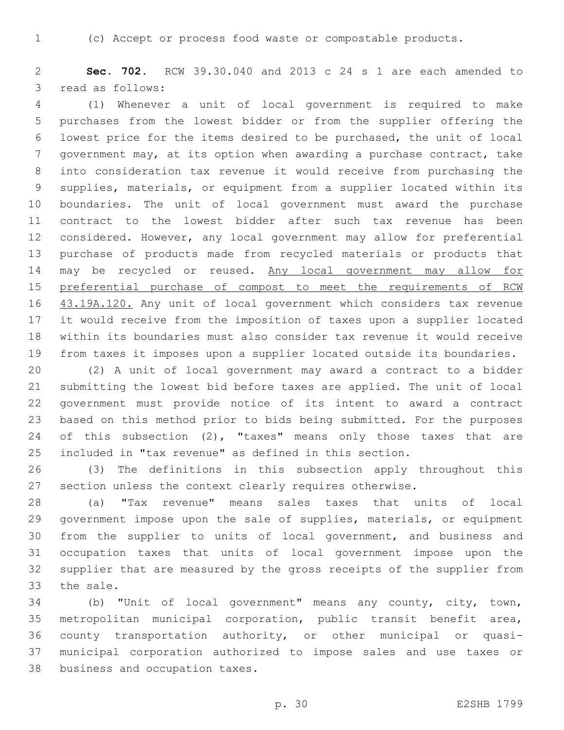(c) Accept or process food waste or compostable products.

 **Sec. 702.** RCW 39.30.040 and 2013 c 24 s 1 are each amended to 3 read as follows:

 (1) Whenever a unit of local government is required to make purchases from the lowest bidder or from the supplier offering the lowest price for the items desired to be purchased, the unit of local government may, at its option when awarding a purchase contract, take into consideration tax revenue it would receive from purchasing the supplies, materials, or equipment from a supplier located within its boundaries. The unit of local government must award the purchase contract to the lowest bidder after such tax revenue has been considered. However, any local government may allow for preferential purchase of products made from recycled materials or products that 14 may be recycled or reused. Any local government may allow for preferential purchase of compost to meet the requirements of RCW 16 43.19A.120. Any unit of local government which considers tax revenue it would receive from the imposition of taxes upon a supplier located within its boundaries must also consider tax revenue it would receive from taxes it imposes upon a supplier located outside its boundaries.

 (2) A unit of local government may award a contract to a bidder submitting the lowest bid before taxes are applied. The unit of local government must provide notice of its intent to award a contract based on this method prior to bids being submitted. For the purposes 24 of this subsection (2), "taxes" means only those taxes that are included in "tax revenue" as defined in this section.

 (3) The definitions in this subsection apply throughout this section unless the context clearly requires otherwise.

 (a) "Tax revenue" means sales taxes that units of local government impose upon the sale of supplies, materials, or equipment from the supplier to units of local government, and business and occupation taxes that units of local government impose upon the supplier that are measured by the gross receipts of the supplier from 33 the sale.

 (b) "Unit of local government" means any county, city, town, metropolitan municipal corporation, public transit benefit area, county transportation authority, or other municipal or quasi- municipal corporation authorized to impose sales and use taxes or 38 business and occupation taxes.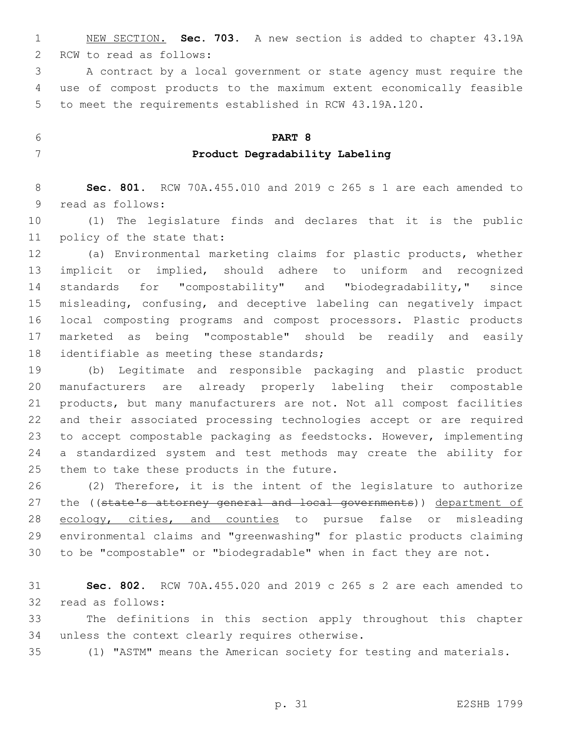NEW SECTION. **Sec. 703.** A new section is added to chapter 43.19A 2 RCW to read as follows:

 A contract by a local government or state agency must require the use of compost products to the maximum extent economically feasible to meet the requirements established in RCW 43.19A.120.

## **PART 8 Product Degradability Labeling**

 **Sec. 801.** RCW 70A.455.010 and 2019 c 265 s 1 are each amended to 9 read as follows:

 (1) The legislature finds and declares that it is the public 11 policy of the state that:

 (a) Environmental marketing claims for plastic products, whether implicit or implied, should adhere to uniform and recognized standards for "compostability" and "biodegradability," since misleading, confusing, and deceptive labeling can negatively impact local composting programs and compost processors. Plastic products marketed as being "compostable" should be readily and easily 18 identifiable as meeting these standards;

 (b) Legitimate and responsible packaging and plastic product manufacturers are already properly labeling their compostable products, but many manufacturers are not. Not all compost facilities and their associated processing technologies accept or are required to accept compostable packaging as feedstocks. However, implementing a standardized system and test methods may create the ability for 25 them to take these products in the future.

 (2) Therefore, it is the intent of the legislature to authorize 27 the ((state's attorney general and local governments)) department of 28 ecology, cities, and counties to pursue false or misleading environmental claims and "greenwashing" for plastic products claiming to be "compostable" or "biodegradable" when in fact they are not.

 **Sec. 802.** RCW 70A.455.020 and 2019 c 265 s 2 are each amended to 32 read as follows:

 The definitions in this section apply throughout this chapter 34 unless the context clearly requires otherwise.

(1) "ASTM" means the American society for testing and materials.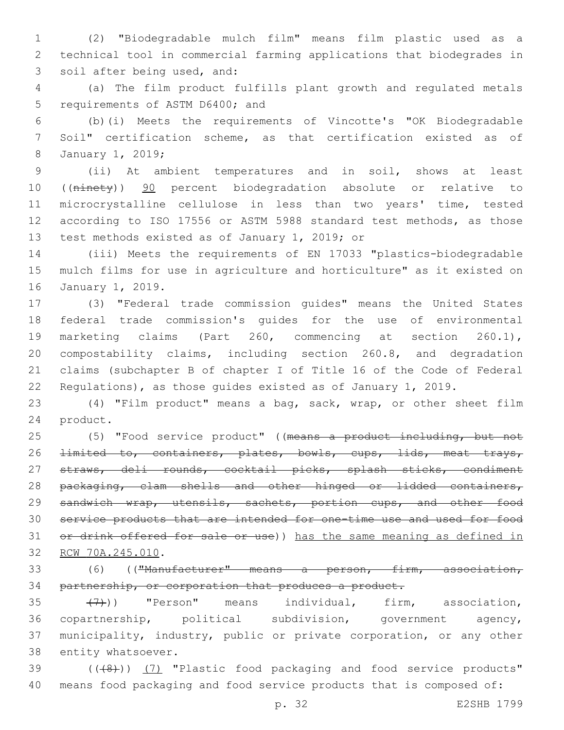1 (2) "Biodegradable mulch film" means film plastic used as a 2 technical tool in commercial farming applications that biodegrades in 3 soil after being used, and:

4 (a) The film product fulfills plant growth and regulated metals 5 requirements of ASTM D6400; and

6 (b)(i) Meets the requirements of Vincotte's "OK Biodegradable 7 Soil" certification scheme, as that certification existed as of 8 January 1, 2019;

9 (ii) At ambient temperatures and in soil, shows at least 10 ((ninety)) 90 percent biodegradation absolute or relative to 11 microcrystalline cellulose in less than two years' time, tested 12 according to ISO 17556 or ASTM 5988 standard test methods, as those 13 test methods existed as of January 1, 2019; or

14 (iii) Meets the requirements of EN 17033 "plastics-biodegradable 15 mulch films for use in agriculture and horticulture" as it existed on 16 January 1, 2019.

 (3) "Federal trade commission guides" means the United States federal trade commission's guides for the use of environmental marketing claims (Part 260, commencing at section 260.1), compostability claims, including section 260.8, and degradation claims (subchapter B of chapter I of Title 16 of the Code of Federal Regulations), as those guides existed as of January 1, 2019.

23 (4) "Film product" means a bag, sack, wrap, or other sheet film 24 product.

25 (5) "Food service product" ((means a product including, but not 26 <del>limited to, containers, plates, bowls, cups, lids, meat trays,</del> 27 straws, deli rounds, cocktail picks, splash sticks, condiment 28 packaging, clam shells and other hinged or lidded containers, 29 sandwich wrap, utensils, sachets, portion cups, and other food 30 service products that are intended for one-time use and used for food 31 or drink offered for sale or use)) has the same meaning as defined in 32 RCW 70A.245.010.

33 (6) (("Manufacturer" means a person, firm, association, 34 partnership, or corporation that produces a product.

 $(7)$ )) "Person" means individual, firm, association, copartnership, political subdivision, government agency, municipality, industry, public or private corporation, or any other 38 entity whatsoever.

39 (((48)) (7) "Plastic food packaging and food service products" 40 means food packaging and food service products that is composed of:

p. 32 E2SHB 1799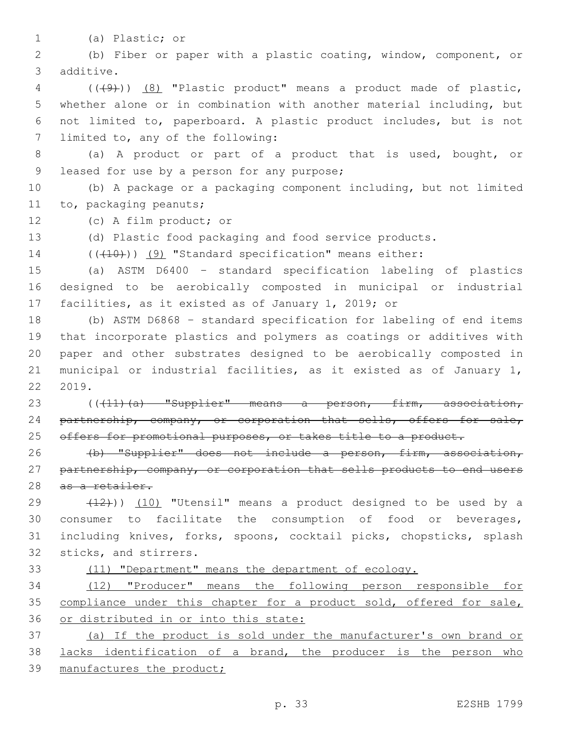- 
- (a) Plastic; or1

2 (b) Fiber or paper with a plastic coating, window, component, or 3 additive.

 (((9))) (8) "Plastic product" means a product made of plastic, whether alone or in combination with another material including, but not limited to, paperboard. A plastic product includes, but is not 7 limited to, any of the following:

8 (a) A product or part of a product that is used, bought, or 9 leased for use by a person for any purpose;

10 (b) A package or a packaging component including, but not limited 11 to, packaging peanuts;

12 (c) A film product; or

13 (d) Plastic food packaging and food service products.

14 (((10)) (9) "Standard specification" means either:

15 (a) ASTM D6400 – standard specification labeling of plastics 16 designed to be aerobically composted in municipal or industrial 17 facilities, as it existed as of January 1, 2019; or

 (b) ASTM D6868 – standard specification for labeling of end items that incorporate plastics and polymers as coatings or additives with paper and other substrates designed to be aerobically composted in municipal or industrial facilities, as it existed as of January 1, 2019.

23 (((11)(a) "Supplier" means a person, firm, association, 24 partnership, company, or corporation that sells, offers for sale, 25 offers for promotional purposes, or takes title to a product.

26 (b) "Supplier" does not include a person, firm, association, 27 partnership, company, or corporation that sells products to end users 28 as a retailer.

 $(12)$ ))  $(10)$  "Utensil" means a product designed to be used by a consumer to facilitate the consumption of food or beverages, including knives, forks, spoons, cocktail picks, chopsticks, splash 32 sticks, and stirrers.

### 33 (11) "Department" means the department of ecology.

34 (12) "Producer" means the following person responsible for 35 compliance under this chapter for a product sold, offered for sale, 36 or distributed in or into this state:

37 (a) If the product is sold under the manufacturer's own brand or 38 lacks identification of a brand, the producer is the person who 39 manufactures the product;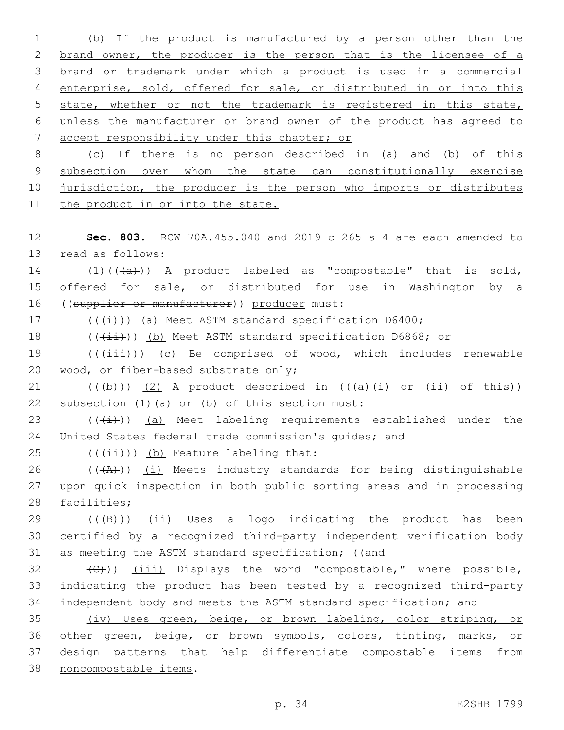(b) If the product is manufactured by a person other than the 2 brand owner, the producer is the person that is the licensee of a brand or trademark under which a product is used in a commercial enterprise, sold, offered for sale, or distributed in or into this state, whether or not the trademark is registered in this state, unless the manufacturer or brand owner of the product has agreed to accept responsibility under this chapter; or (c) If there is no person described in (a) and (b) of this 9 subsection over whom the state can constitutionally exercise 10 jurisdiction, the producer is the person who imports or distributes the product in or into the state. **Sec. 803.** RCW 70A.455.040 and 2019 c 265 s 4 are each amended to 13 read as follows:  $(1)((+a))$  A product labeled as "compostable" that is sold, offered for sale, or distributed for use in Washington by a

16 ((supplier or manufacturer)) producer must:

17  $((\overline{(\dagger)}))(a)$  Meet ASTM standard specification D6400; 18 (( $(i+1)$ ) (b) Meet ASTM standard specification D6868; or

19 (( $(i+1i)$ ) (c) Be comprised of wood, which includes renewable 20 wood, or fiber-based substrate only;

21 ( $(\overline{a})$ ) (2) A product described in  $((\overline{a})\overline{(i)})$  of this)) 22 subsection  $(1)$  (a) or (b) of this section must:

23  $((\overline{4})^n)$  (a) Meet labeling requirements established under the 24 United States federal trade commission's guides; and

25  $((\overrightarrow{\text{iii}}))$  (b) Feature labeling that:

26  $((+A)^2)$  (i) Meets industry standards for being distinguishable 27 upon quick inspection in both public sorting areas and in processing 28 facilities;

29  $((+B))$   $(i)$  Uses a logo indicating the product has been 30 certified by a recognized third-party independent verification body 31 as meeting the ASTM standard specification; ((and

 $\langle \langle \cdot | \cdot \rangle$  (iii) Displays the word "compostable," where possible, 33 indicating the product has been tested by a recognized third-party 34 independent body and meets the ASTM standard specification; and

 (iv) Uses green, beige, or brown labeling, color striping, or other green, beige, or brown symbols, colors, tinting, marks, or design patterns that help differentiate compostable items from noncompostable items.38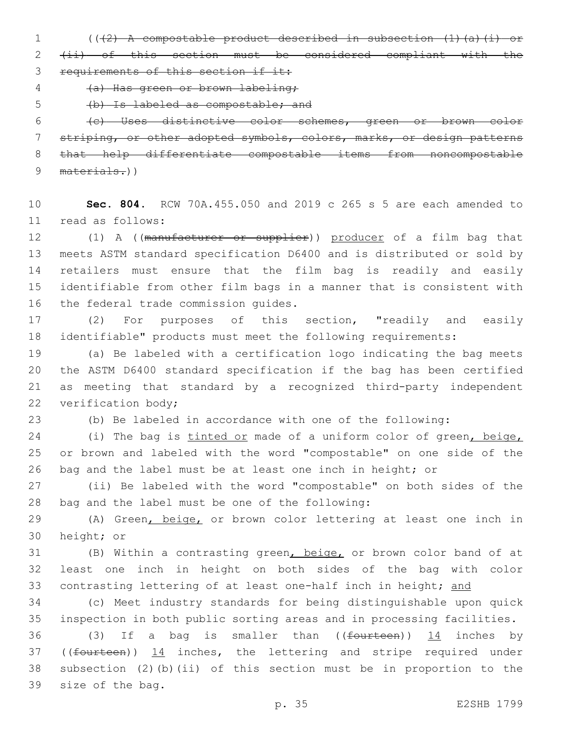(((2) A compostable product described in subsection (1)(a)(i) or

 (ii) of this section must be considered compliant with the 3 requirements of this section if it:

(a) Has green or brown labeling;

(b) Is labeled as compostable; and

 (c) Uses distinctive color schemes, green or brown color striping, or other adopted symbols, colors, marks, or design patterns that help differentiate compostable items from noncompostable 9 materials.))

 **Sec. 804.** RCW 70A.455.050 and 2019 c 265 s 5 are each amended to read as follows:11

12 (1) A ((manufacturer or supplier)) producer of a film bag that meets ASTM standard specification D6400 and is distributed or sold by retailers must ensure that the film bag is readily and easily identifiable from other film bags in a manner that is consistent with 16 the federal trade commission guides.

 (2) For purposes of this section, "readily and easily identifiable" products must meet the following requirements:

 (a) Be labeled with a certification logo indicating the bag meets the ASTM D6400 standard specification if the bag has been certified as meeting that standard by a recognized third-party independent 22 verification body;

(b) Be labeled in accordance with one of the following:

24 (i) The bag is tinted or made of a uniform color of green, beige, or brown and labeled with the word "compostable" on one side of the bag and the label must be at least one inch in height; or

 (ii) Be labeled with the word "compostable" on both sides of the 28 bag and the label must be one of the following:

 (A) Green, beige, or brown color lettering at least one inch in 30 height; or

 (B) Within a contrasting green, beige, or brown color band of at least one inch in height on both sides of the bag with color 33 contrasting lettering of at least one-half inch in height; and

 (c) Meet industry standards for being distinguishable upon quick inspection in both public sorting areas and in processing facilities.

36 (3) If a bag is smaller than  $($ (fourteen))  $\frac{14}{14}$  inches by 37 ((fourteen)) 14 inches, the lettering and stripe required under subsection (2)(b)(ii) of this section must be in proportion to the 39 size of the bag.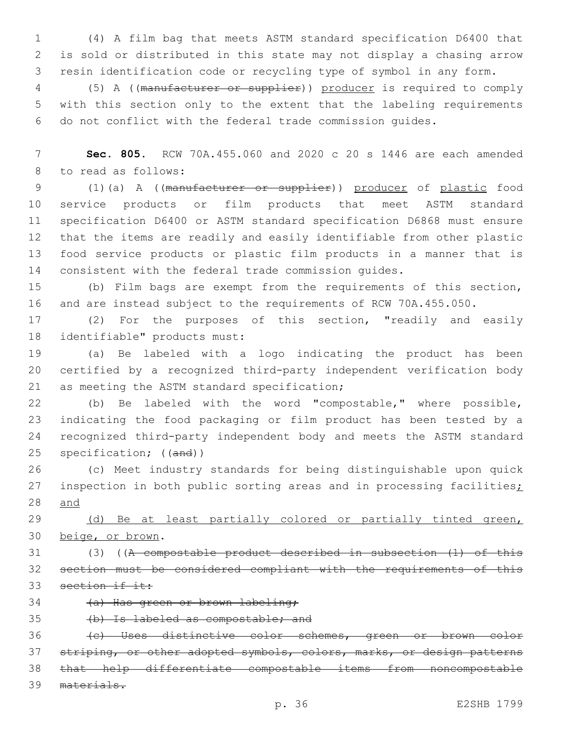(4) A film bag that meets ASTM standard specification D6400 that is sold or distributed in this state may not display a chasing arrow resin identification code or recycling type of symbol in any form.

 (5) A ((manufacturer or supplier)) producer is required to comply with this section only to the extent that the labeling requirements do not conflict with the federal trade commission guides.

 **Sec. 805.** RCW 70A.455.060 and 2020 c 20 s 1446 are each amended 8 to read as follows:

 (1)(a) A ((manufacturer or supplier)) producer of plastic food service products or film products that meet ASTM standard specification D6400 or ASTM standard specification D6868 must ensure that the items are readily and easily identifiable from other plastic food service products or plastic film products in a manner that is consistent with the federal trade commission guides.

 (b) Film bags are exempt from the requirements of this section, and are instead subject to the requirements of RCW 70A.455.050.

 (2) For the purposes of this section, "readily and easily 18 identifiable" products must:

 (a) Be labeled with a logo indicating the product has been certified by a recognized third-party independent verification body 21 as meeting the ASTM standard specification;

 (b) Be labeled with the word "compostable," where possible, indicating the food packaging or film product has been tested by a recognized third-party independent body and meets the ASTM standard 25 specification; ((and))

 (c) Meet industry standards for being distinguishable upon quick 27 inspection in both public sorting areas and in processing facilities; and

29 (d) Be at least partially colored or partially tinted green, 30 beige, or brown.

 (3) ((A compostable product described in subsection (1) of this section must be considered compliant with the requirements of this 33 section if it:

34 (a) Has green or brown labeling;

(b) Is labeled as compostable; and

 (c) Uses distinctive color schemes, green or brown color 37 striping, or other adopted symbols, colors, marks, or design patterns that help differentiate compostable items from noncompostable materials.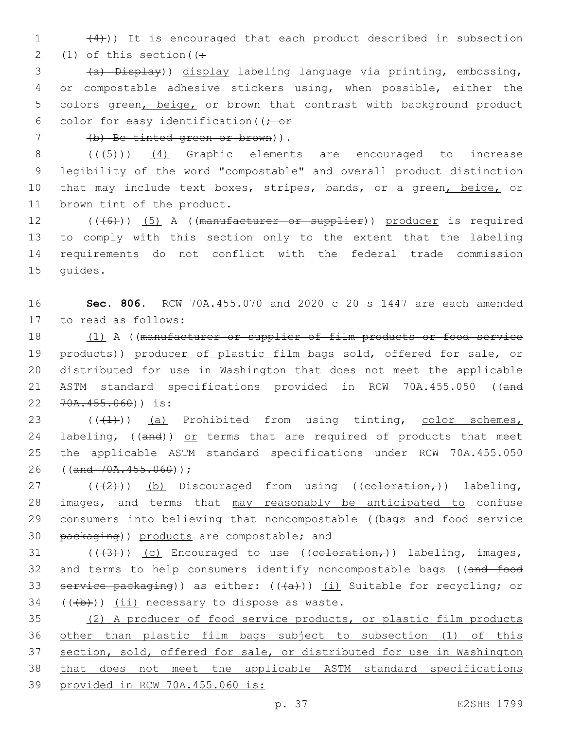$(4)$ )) It is encouraged that each product described in subsection 2 (1) of this section  $($ .

3 (a) Display)) display labeling language via printing, embossing, 4 or compostable adhesive stickers using, when possible, either the 5 colors green, beige, or brown that contrast with background product 6 color for easy identification ( $\rightarrow$  or

(b) Be tinted green or brown)).7

8 (((45)) (4) Graphic elements are encouraged to increase 9 legibility of the word "compostable" and overall product distinction 10 that may include text boxes, stripes, bands, or a green, beige, or 11 brown tint of the product.

12 (((6)) (5) A ((manufacturer or supplier)) producer is required 13 to comply with this section only to the extent that the labeling 14 requirements do not conflict with the federal trade commission 15 quides.

16 **Sec. 806.** RCW 70A.455.070 and 2020 c 20 s 1447 are each amended 17 to read as follows:

18 (1) A ((manufacturer or supplier of film products or food service 19 products)) producer of plastic film bags sold, offered for sale, or 20 distributed for use in Washington that does not meet the applicable 21 ASTM standard specifications provided in RCW 70A.455.050 ((and 22 70A.455.060)) is:

23  $((+1))$  (a) Prohibited from using tinting, color schemes, 24 labeling, ((and)) or terms that are required of products that meet 25 the applicable ASTM standard specifications under RCW 70A.455.050 26 ((and 70A.455.060));

27  $((+2+))$  (b) Discouraged from using ((coloration,)) labeling, 28 images, and terms that may reasonably be anticipated to confuse 29 consumers into believing that noncompostable ((bags and food service 30 packaging)) products are compostable; and

31 ( $(\frac{43}{})$ ) (c) Encouraged to use ((coloration,)) labeling, images, 32 and terms to help consumers identify noncompostable bags ((and food 33 service packaging)) as either:  $((+a))$  (i) Suitable for recycling; or  $(4b)$ ) (ii) necessary to dispose as waste.

 (2) A producer of food service products, or plastic film products other than plastic film bags subject to subsection (1) of this section, sold, offered for sale, or distributed for use in Washington that does not meet the applicable ASTM standard specifications provided in RCW 70A.455.060 is: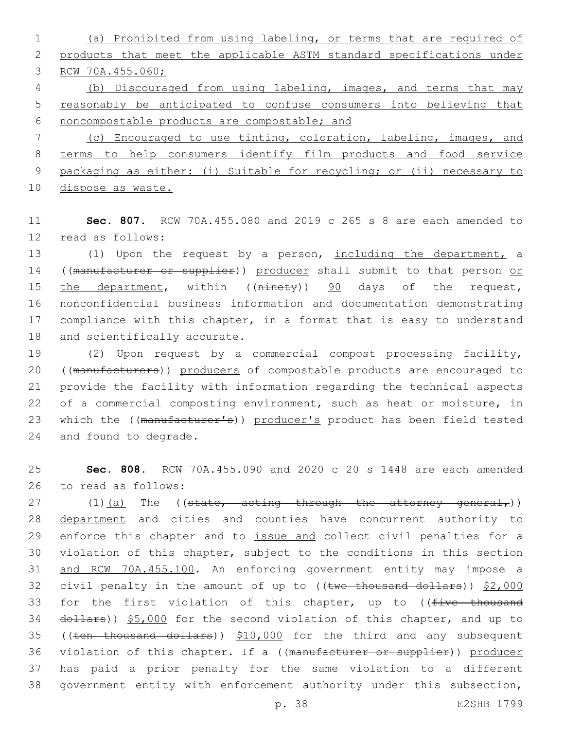(a) Prohibited from using labeling, or terms that are required of products that meet the applicable ASTM standard specifications under RCW 70A.455.060; (b) Discouraged from using labeling, images, and terms that may

5 reasonably be anticipated to confuse consumers into believing that 6 noncompostable products are compostable; and

 (c) Encouraged to use tinting, coloration, labeling, images, and terms to help consumers identify film products and food service packaging as either: (i) Suitable for recycling; or (ii) necessary to dispose as waste.

11 **Sec. 807.** RCW 70A.455.080 and 2019 c 265 s 8 are each amended to 12 read as follows:

13 (1) Upon the request by a person, including the department, a 14 ((manufacturer or supplier)) producer shall submit to that person or 15 the department, within ((ninety)) 90 days of the request, 16 nonconfidential business information and documentation demonstrating 17 compliance with this chapter, in a format that is easy to understand 18 and scientifically accurate.

19 (2) Upon request by a commercial compost processing facility, 20 ((manufacturers)) producers of compostable products are encouraged to 21 provide the facility with information regarding the technical aspects 22 of a commercial composting environment, such as heat or moisture, in 23 which the ((manufacturer's)) producer's product has been field tested 24 and found to degrade.

25 **Sec. 808.** RCW 70A.455.090 and 2020 c 20 s 1448 are each amended 26 to read as follows:

27  $(1)(a)$  The ((state, acting through the attorney general,)) 28 department and cities and counties have concurrent authority to 29 enforce this chapter and to issue and collect civil penalties for a 30 violation of this chapter, subject to the conditions in this section 31 and RCW 70A.455.100. An enforcing government entity may impose a 32 civil penalty in the amount of up to ((two thousand dollars)) \$2,000 33 for the first violation of this chapter, up to ((five thousand 34 dollars)) \$5,000 for the second violation of this chapter, and up to 35 ((ten thousand dollars)) \$10,000 for the third and any subsequent 36 violation of this chapter. If a ((manufacturer or supplier)) producer 37 has paid a prior penalty for the same violation to a different 38 government entity with enforcement authority under this subsection,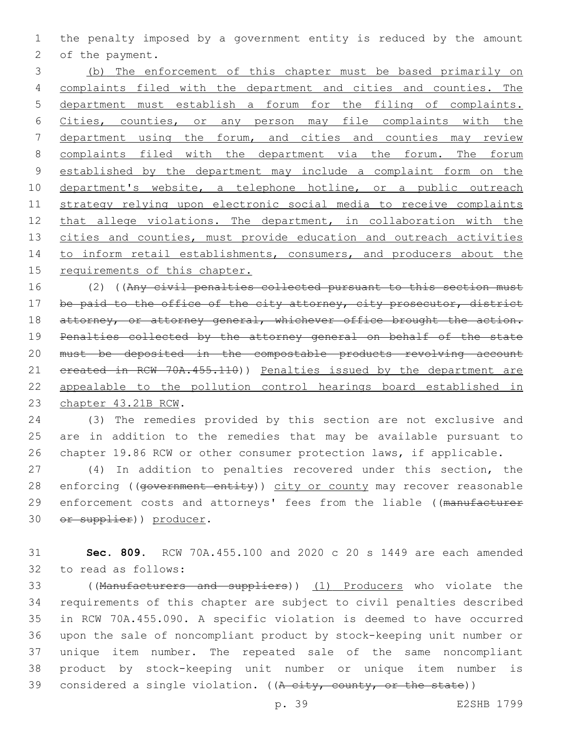the penalty imposed by a government entity is reduced by the amount 2 of the payment.

 (b) The enforcement of this chapter must be based primarily on complaints filed with the department and cities and counties. The department must establish a forum for the filing of complaints. Cities, counties, or any person may file complaints with the department using the forum, and cities and counties may review complaints filed with the department via the forum. The forum established by the department may include a complaint form on the 10 department's website, a telephone hotline, or a public outreach strategy relying upon electronic social media to receive complaints 12 that allege violations. The department, in collaboration with the 13 cities and counties, must provide education and outreach activities 14 to inform retail establishments, consumers, and producers about the requirements of this chapter.

 (2) ((Any civil penalties collected pursuant to this section must 17 be paid to the office of the city attorney, city prosecutor, district 18 attorney, or attorney general, whichever office brought the action. Penalties collected by the attorney general on behalf of the state must be deposited in the compostable products revolving account 21 created in RCW 70A.455.110)) Penalties issued by the department are appealable to the pollution control hearings board established in 23 chapter 43.21B RCW.

 (3) The remedies provided by this section are not exclusive and are in addition to the remedies that may be available pursuant to chapter 19.86 RCW or other consumer protection laws, if applicable.

 (4) In addition to penalties recovered under this section, the 28 enforcing ((government entity)) city or county may recover reasonable 29 enforcement costs and attorneys' fees from the liable ((manufacturer 30 or supplier)) producer.

 **Sec. 809.** RCW 70A.455.100 and 2020 c 20 s 1449 are each amended 32 to read as follows:

 ((Manufacturers and suppliers)) (1) Producers who violate the requirements of this chapter are subject to civil penalties described in RCW 70A.455.090. A specific violation is deemed to have occurred upon the sale of noncompliant product by stock-keeping unit number or unique item number. The repeated sale of the same noncompliant product by stock-keeping unit number or unique item number is 39 considered a single violation. ( $(A$  city, county, or the state))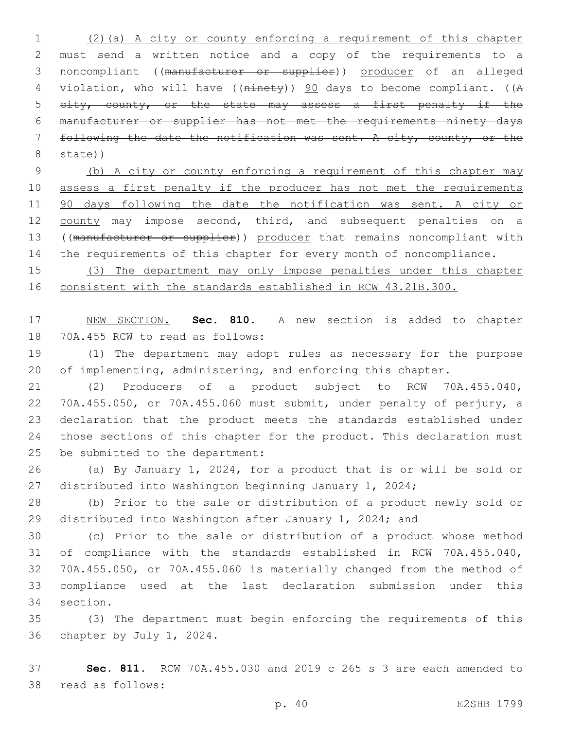(2)(a) A city or county enforcing a requirement of this chapter must send a written notice and a copy of the requirements to a noncompliant ((manufacturer or supplier)) producer of an alleged violation, who will have ((ninety)) 90 days to become compliant. ((A 5 city, county, or the state may assess a first penalty if the manufacturer or supplier has not met the requirements ninety days following the date the notification was sent. A city, county, or the state))

 (b) A city or county enforcing a requirement of this chapter may assess a first penalty if the producer has not met the requirements 90 days following the date the notification was sent. A city or 12 county may impose second, third, and subsequent penalties on a 13 ((manufacturer or supplier)) producer that remains noncompliant with 14 the requirements of this chapter for every month of noncompliance.

 (3) The department may only impose penalties under this chapter consistent with the standards established in RCW 43.21B.300.

 NEW SECTION. **Sec. 810.** A new section is added to chapter 18 70A.455 RCW to read as follows:

 (1) The department may adopt rules as necessary for the purpose 20 of implementing, administering, and enforcing this chapter.

 (2) Producers of a product subject to RCW 70A.455.040, 70A.455.050, or 70A.455.060 must submit, under penalty of perjury, a declaration that the product meets the standards established under those sections of this chapter for the product. This declaration must 25 be submitted to the department:

 (a) By January 1, 2024, for a product that is or will be sold or distributed into Washington beginning January 1, 2024;

 (b) Prior to the sale or distribution of a product newly sold or distributed into Washington after January 1, 2024; and

 (c) Prior to the sale or distribution of a product whose method of compliance with the standards established in RCW 70A.455.040, 70A.455.050, or 70A.455.060 is materially changed from the method of compliance used at the last declaration submission under this 34 section.

 (3) The department must begin enforcing the requirements of this 36 chapter by July 1, 2024.

 **Sec. 811.** RCW 70A.455.030 and 2019 c 265 s 3 are each amended to 38 read as follows: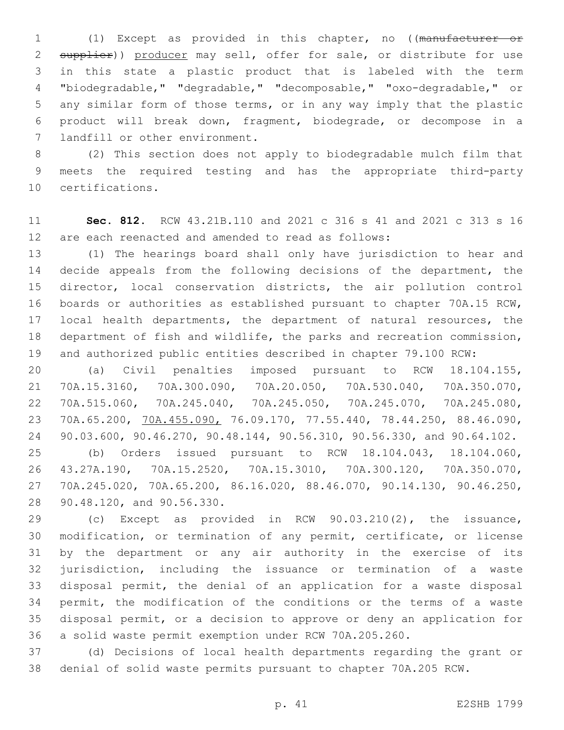(1) Except as provided in this chapter, no ((manufacturer or 2 supplier)) producer may sell, offer for sale, or distribute for use in this state a plastic product that is labeled with the term "biodegradable," "degradable," "decomposable," "oxo-degradable," or any similar form of those terms, or in any way imply that the plastic product will break down, fragment, biodegrade, or decompose in a 7 landfill or other environment.

 (2) This section does not apply to biodegradable mulch film that meets the required testing and has the appropriate third-party 10 certifications.

 **Sec. 812.** RCW 43.21B.110 and 2021 c 316 s 41 and 2021 c 313 s 16 are each reenacted and amended to read as follows:

 (1) The hearings board shall only have jurisdiction to hear and decide appeals from the following decisions of the department, the director, local conservation districts, the air pollution control boards or authorities as established pursuant to chapter 70A.15 RCW, local health departments, the department of natural resources, the department of fish and wildlife, the parks and recreation commission, and authorized public entities described in chapter 79.100 RCW:

 (a) Civil penalties imposed pursuant to RCW 18.104.155, 70A.15.3160, 70A.300.090, 70A.20.050, 70A.530.040, 70A.350.070, 70A.515.060, 70A.245.040, 70A.245.050, 70A.245.070, 70A.245.080, 70A.65.200, 70A.455.090, 76.09.170, 77.55.440, 78.44.250, 88.46.090, 90.03.600, 90.46.270, 90.48.144, 90.56.310, 90.56.330, and 90.64.102. (b) Orders issued pursuant to RCW 18.104.043, 18.104.060, 43.27A.190, 70A.15.2520, 70A.15.3010, 70A.300.120, 70A.350.070,

 70A.245.020, 70A.65.200, 86.16.020, 88.46.070, 90.14.130, 90.46.250, 28 90.48.120, and 90.56.330.

 (c) Except as provided in RCW 90.03.210(2), the issuance, modification, or termination of any permit, certificate, or license by the department or any air authority in the exercise of its jurisdiction, including the issuance or termination of a waste disposal permit, the denial of an application for a waste disposal permit, the modification of the conditions or the terms of a waste disposal permit, or a decision to approve or deny an application for a solid waste permit exemption under RCW 70A.205.260.

 (d) Decisions of local health departments regarding the grant or denial of solid waste permits pursuant to chapter 70A.205 RCW.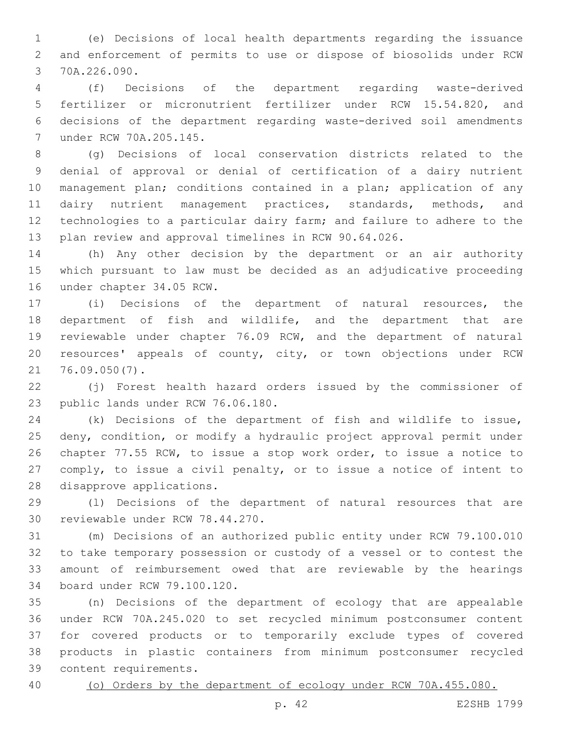(e) Decisions of local health departments regarding the issuance and enforcement of permits to use or dispose of biosolids under RCW 3 70A.226.090.

 (f) Decisions of the department regarding waste-derived fertilizer or micronutrient fertilizer under RCW 15.54.820, and decisions of the department regarding waste-derived soil amendments under RCW 70A.205.145.7

 (g) Decisions of local conservation districts related to the denial of approval or denial of certification of a dairy nutrient management plan; conditions contained in a plan; application of any 11 dairy nutrient management practices, standards, methods, and technologies to a particular dairy farm; and failure to adhere to the plan review and approval timelines in RCW 90.64.026.

 (h) Any other decision by the department or an air authority which pursuant to law must be decided as an adjudicative proceeding 16 under chapter 34.05 RCW.

 (i) Decisions of the department of natural resources, the department of fish and wildlife, and the department that are reviewable under chapter 76.09 RCW, and the department of natural resources' appeals of county, city, or town objections under RCW 76.09.050(7).21

 (j) Forest health hazard orders issued by the commissioner of 23 public lands under RCW 76.06.180.

 (k) Decisions of the department of fish and wildlife to issue, deny, condition, or modify a hydraulic project approval permit under chapter 77.55 RCW, to issue a stop work order, to issue a notice to comply, to issue a civil penalty, or to issue a notice of intent to 28 disapprove applications.

 (l) Decisions of the department of natural resources that are 30 reviewable under RCW 78.44.270.

 (m) Decisions of an authorized public entity under RCW 79.100.010 to take temporary possession or custody of a vessel or to contest the amount of reimbursement owed that are reviewable by the hearings 34 board under RCW 79.100.120.

 (n) Decisions of the department of ecology that are appealable under RCW 70A.245.020 to set recycled minimum postconsumer content for covered products or to temporarily exclude types of covered products in plastic containers from minimum postconsumer recycled 39 content requirements.

(o) Orders by the department of ecology under RCW 70A.455.080.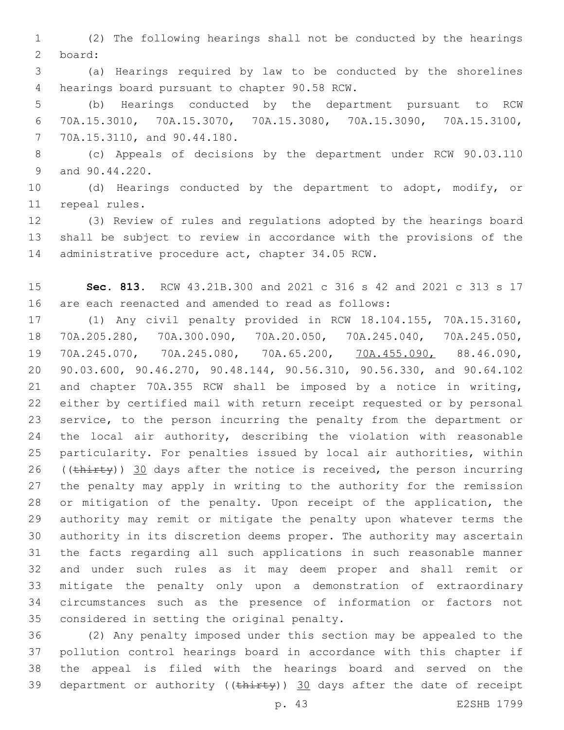(2) The following hearings shall not be conducted by the hearings board:2

 (a) Hearings required by law to be conducted by the shorelines 4 hearings board pursuant to chapter 90.58 RCW.

 (b) Hearings conducted by the department pursuant to RCW 70A.15.3010, 70A.15.3070, 70A.15.3080, 70A.15.3090, 70A.15.3100, 70A.15.3110, and 90.44.180.7

 (c) Appeals of decisions by the department under RCW 90.03.110 9 and 90.44.220.

 (d) Hearings conducted by the department to adopt, modify, or 11 repeal rules.

 (3) Review of rules and regulations adopted by the hearings board shall be subject to review in accordance with the provisions of the 14 administrative procedure act, chapter 34.05 RCW.

 **Sec. 813.** RCW 43.21B.300 and 2021 c 316 s 42 and 2021 c 313 s 17 are each reenacted and amended to read as follows:

 (1) Any civil penalty provided in RCW 18.104.155, 70A.15.3160, 70A.205.280, 70A.300.090, 70A.20.050, 70A.245.040, 70A.245.050, 70A.245.070, 70A.245.080, 70A.65.200, 70A.455.090, 88.46.090, 90.03.600, 90.46.270, 90.48.144, 90.56.310, 90.56.330, and 90.64.102 and chapter 70A.355 RCW shall be imposed by a notice in writing, either by certified mail with return receipt requested or by personal service, to the person incurring the penalty from the department or the local air authority, describing the violation with reasonable particularity. For penalties issued by local air authorities, within 26 (( $\text{thirty}$ )) 30 days after the notice is received, the person incurring the penalty may apply in writing to the authority for the remission or mitigation of the penalty. Upon receipt of the application, the authority may remit or mitigate the penalty upon whatever terms the authority in its discretion deems proper. The authority may ascertain the facts regarding all such applications in such reasonable manner and under such rules as it may deem proper and shall remit or mitigate the penalty only upon a demonstration of extraordinary circumstances such as the presence of information or factors not 35 considered in setting the original penalty.

 (2) Any penalty imposed under this section may be appealed to the pollution control hearings board in accordance with this chapter if the appeal is filed with the hearings board and served on the 39 department or authority ( $(\text{thi}$ rty)) 30 days after the date of receipt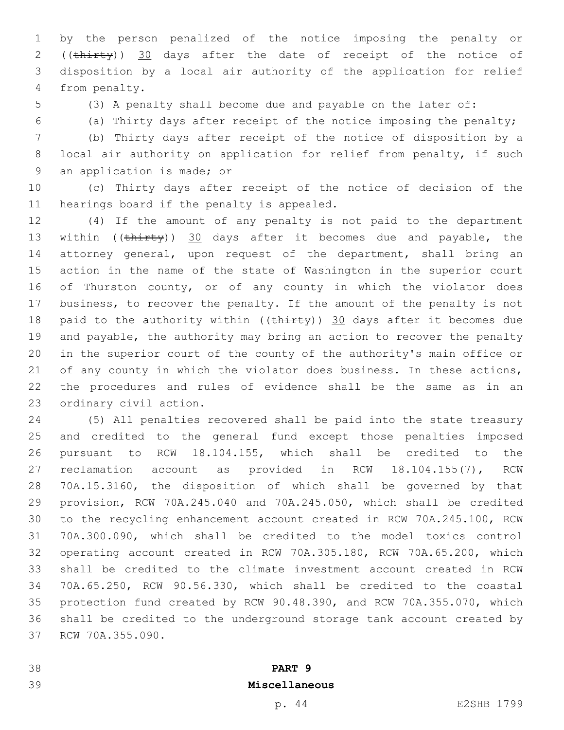by the person penalized of the notice imposing the penalty or 2 ((thirty)) 30 days after the date of receipt of the notice of disposition by a local air authority of the application for relief 4 from penalty.

(3) A penalty shall become due and payable on the later of:

(a) Thirty days after receipt of the notice imposing the penalty;

 (b) Thirty days after receipt of the notice of disposition by a local air authority on application for relief from penalty, if such 9 an application is made; or

 (c) Thirty days after receipt of the notice of decision of the 11 hearings board if the penalty is appealed.

 (4) If the amount of any penalty is not paid to the department 13 within ((thirty)) 30 days after it becomes due and payable, the attorney general, upon request of the department, shall bring an action in the name of the state of Washington in the superior court of Thurston county, or of any county in which the violator does business, to recover the penalty. If the amount of the penalty is not 18 paid to the authority within ( $(\text{thirty})$ ) 30 days after it becomes due and payable, the authority may bring an action to recover the penalty in the superior court of the county of the authority's main office or 21 of any county in which the violator does business. In these actions, the procedures and rules of evidence shall be the same as in an 23 ordinary civil action.

 (5) All penalties recovered shall be paid into the state treasury and credited to the general fund except those penalties imposed pursuant to RCW 18.104.155, which shall be credited to the reclamation account as provided in RCW 18.104.155(7), RCW 70A.15.3160, the disposition of which shall be governed by that provision, RCW 70A.245.040 and 70A.245.050, which shall be credited to the recycling enhancement account created in RCW 70A.245.100, RCW 70A.300.090, which shall be credited to the model toxics control operating account created in RCW 70A.305.180, RCW 70A.65.200, which shall be credited to the climate investment account created in RCW 70A.65.250, RCW 90.56.330, which shall be credited to the coastal protection fund created by RCW 90.48.390, and RCW 70A.355.070, which shall be credited to the underground storage tank account created by 37 RCW 70A.355.090.

**PART 9**

# **Miscellaneous**